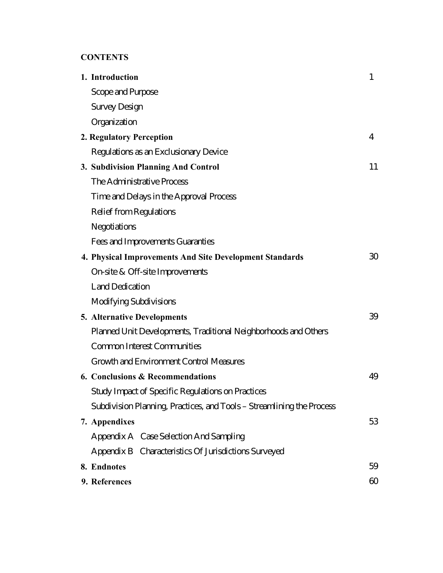# **CONTENTS**

| 1. Introduction                                                       | 1  |
|-----------------------------------------------------------------------|----|
| Scope and Purpose                                                     |    |
| <b>Survey Design</b>                                                  |    |
| Organization                                                          |    |
| 2. Regulatory Perception                                              | 4  |
| Regulations as an Exclusionary Device                                 |    |
| 3. Subdivision Planning And Control                                   | 11 |
| The Administrative Process                                            |    |
| Time and Delays in the Approval Process                               |    |
| <b>Relief from Regulations</b>                                        |    |
| Negotiations                                                          |    |
| Fees and Improvements Guaranties                                      |    |
| 4. Physical Improvements And Site Development Standards               | 30 |
| On-site & Off-site Improvements                                       |    |
| <b>Land Dedication</b>                                                |    |
| <b>Modifying Subdivisions</b>                                         |    |
| <b>5. Alternative Developments</b>                                    | 39 |
| Planned Unit Developments, Traditional Neighborhoods and Others       |    |
| <b>Common Interest Communities</b>                                    |    |
| <b>Growth and Environment Control Measures</b>                        |    |
| 6. Conclusions & Recommendations                                      | 49 |
| <b>Study Impact of Specific Regulations on Practices</b>              |    |
| Subdivision Planning, Practices, and Tools – Streamlining the Process |    |
| 7. Appendixes                                                         | 53 |
| Appendix A Case Selection And Sampling                                |    |
| Appendix B Characteristics Of Jurisdictions Surveyed                  |    |
| 8. Endnotes                                                           | 59 |
| 9. References                                                         | 60 |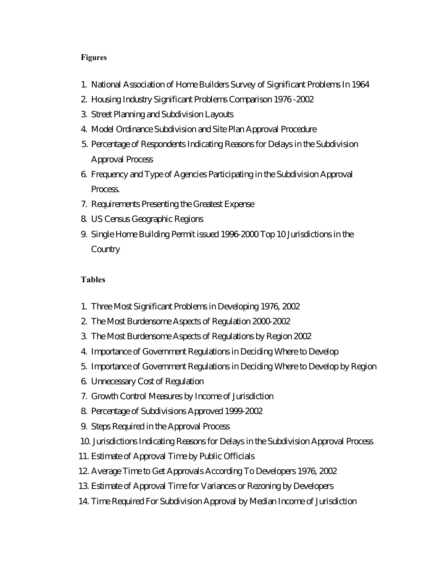#### **Figures**

- 1. National Association of Home Builders Survey of Significant Problems In 1964
- 2. Housing Industry Significant Problems Comparison 1976 -2002
- 3. Street Planning and Subdivision Layouts
- 4. Model Ordinance Subdivision and Site Plan Approval Procedure
- 5. Percentage of Respondents Indicating Reasons for Delays in the Subdivision Approval Process
- 6. Frequency and Type of Agencies Participating in the Subdivision Approval Process.
- 7. Requirements Presenting the Greatest Expense
- 8. US Census Geographic Regions
- 9. Single Home Building Permit issued 1996-2000 Top 10 Jurisdictions in the **Country**

### **Tables**

- 1. Three Most Significant Problems in Developing 1976, 2002
- 2. The Most Burdensome Aspects of Regulation 2000-2002
- 3. The Most Burdensome Aspects of Regulations by Region 2002
- 4. Importance of Government Regulations in Deciding Where to Develop
- 5. Importance of Government Regulations in Deciding Where to Develop by Region
- 6. Unnecessary Cost of Regulation
- 7. Growth Control Measures by Income of Jurisdiction
- 8. Percentage of Subdivisions Approved 1999-2002
- 9. Steps Required in the Approval Process
- 10. Jurisdictions Indicating Reasons for Delays in the Subdivision Approval Process
- 11. Estimate of Approval Time by Public Officials
- 12. Average Time to Get Approvals According To Developers 1976, 2002
- 13. Estimate of Approval Time for Variances or Rezoning by Developers
- 14. Time Required For Subdivision Approval by Median Income of Jurisdiction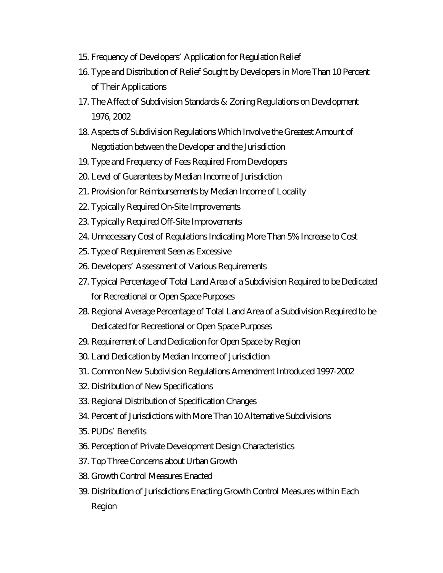- 15. Frequency of Developers' Application for Regulation Relief
- 16. Type and Distribution of Relief Sought by Developers in More Than 10 Percent of Their Applications
- 17. The Affect of Subdivision Standards & Zoning Regulations on Development 1976, 2002
- 18. Aspects of Subdivision Regulations Which Involve the Greatest Amount of Negotiation between the Developer and the Jurisdiction
- 19. Type and Frequency of Fees Required From Developers
- 20. Level of Guarantees by Median Income of Jurisdiction
- 21. Provision for Reimbursements by Median Income of Locality
- 22. Typically Required On-Site Improvements
- 23. Typically Required Off-Site Improvements
- 24. Unnecessary Cost of Regulations Indicating More Than 5% Increase to Cost
- 25. Type of Requirement Seen as Excessive
- 26. Developers' Assessment of Various Requirements
- 27. Typical Percentage of Total Land Area of a Subdivision Required to be Dedicated for Recreational or Open Space Purposes
- 28. Regional Average Percentage of Total Land Area of a Subdivision Required to be Dedicated for Recreational or Open Space Purposes
- 29. Requirement of Land Dedication for Open Space by Region
- 30. Land Dedication by Median Income of Jurisdiction
- 31. Common New Subdivision Regulations Amendment Introduced 1997-2002
- 32. Distribution of New Specifications
- 33. Regional Distribution of Specification Changes
- 34. Percent of Jurisdictions with More Than 10 Alternative Subdivisions
- 35. PUDs' Benefits
- 36. Perception of Private Development Design Characteristics
- 37. Top Three Concerns about Urban Growth
- 38. Growth Control Measures Enacted
- 39. Distribution of Jurisdictions Enacting Growth Control Measures within Each Region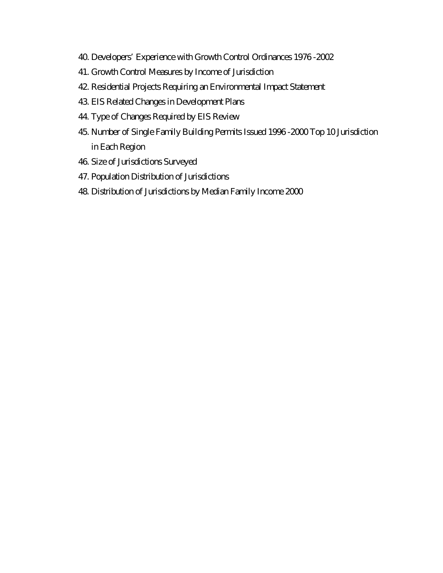- 40. Developers' Experience with Growth Control Ordinances 1976 -2002
- 41. Growth Control Measures by Income of Jurisdiction
- 42. Residential Projects Requiring an Environmental Impact Statement
- 43. EIS Related Changes in Development Plans
- 44. Type of Changes Required by EIS Review
- 45. Number of Single Family Building Permits Issued 1996 -2000 Top 10 Jurisdiction in Each Region
- 46. Size of Jurisdictions Surveyed
- 47. Population Distribution of Jurisdictions
- 48. Distribution of Jurisdictions by Median Family Income 2000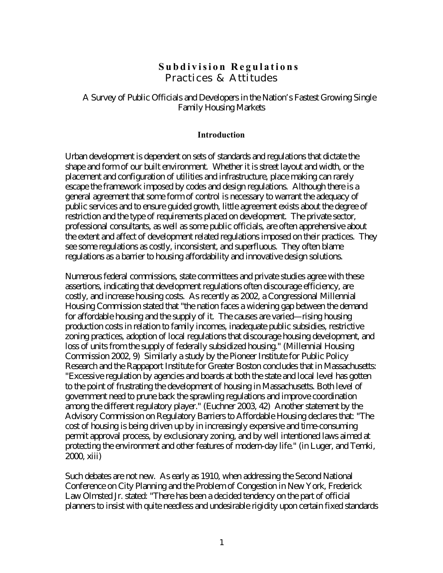# **Subdivision Regulations** Practices & Attitudes

A Survey of Public Officials and Developers in the Nation's Fastest Growing Single Family Housing Markets

#### **Introduction**

Urban development is dependent on sets of standards and regulations that dictate the shape and form of our built environment. Whether it is street layout and width, or the placement and configuration of utilities and infrastructure, place making can rarely escape the framework imposed by codes and design regulations. Although there is a general agreement that some form of control is necessary to warrant the adequacy of public services and to ensure guided growth, little agreement exists about the degree of restriction and the type of requirements placed on development. The private sector, professional consultants, as well as some public officials, are often apprehensive about the extent and affect of development related regulations imposed on their practices. They see some regulations as costly, inconsistent, and superfluous. They often blame regulations as a barrier to housing affordability and innovative design solutions.

Numerous federal commissions, state committees and private studies agree with these assertions, indicating that development regulations often discourage efficiency, are costly, and increase housing costs. As recently as 2002, a Congressional Millennial Housing Commission stated that "the nation faces a widening gap between the demand for affordable housing and the supply of it. The causes are varied—rising housing production costs in relation to family incomes, inadequate public subsidies, restrictive zoning practices, adoption of local regulations that discourage housing development, and loss of units from the supply of federally subsidized housing." (Millennial Housing Commission 2002, 9) Similarly a study by the Pioneer Institute for Public Policy Research and the Rappaport Institute for Greater Boston concludes that in Massachusetts: "Excessive regulation by agencies and boards at both the state and local level has gotten to the point of frustrating the development of housing in Massachusetts. Both level of government need to prune back the sprawling regulations and improve coordination among the different regulatory player." (Euchner 2003, 42) Another statement by the Advisory Commission on Regulatory Barriers to Affordable Housing declares that: "The cost of housing is being driven up by in increasingly expensive and time-consuming permit approval process, by exclusionary zoning, and by well intentioned laws aimed at protecting the environment and other features of modern-day life." (in Luger, and Temki, 2000, xiii)

Such debates are not new. As early as 1910, when addressing the Second National Conference on City Planning and the Problem of Congestion in New York, Frederick Law Olmsted Jr. stated: "There has been a decided tendency on the part of official planners to insist with quite needless and undesirable rigidity upon certain fixed standards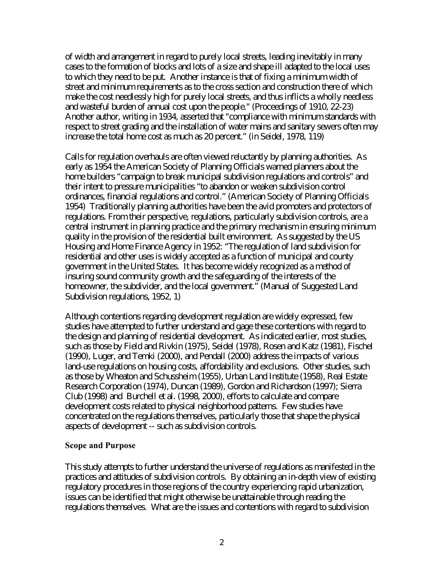of width and arrangement in regard to purely local streets, leading inevitably in many cases to the formation of blocks and lots of a size and shape ill adapted to the local uses to which they need to be put. Another instance is that of fixing a minimum width of street and minimum requirements as to the cross section and construction there of which make the cost needlessly high for purely local streets, and thus inflicts a wholly needless and wasteful burden of annual cost upon the people." (Proceedings of 1910, 22-23) Another author, writing in 1934, asserted that "compliance with minimum standards with respect to street grading and the installation of water mains and sanitary sewers often may increase the total home cost as much as 20 percent." (in Seidel, 1978, 119)

Calls for regulation overhauls are often viewed reluctantly by planning authorities. As early as 1954 the American Society of Planning Officials warned planners about the home builders "campaign to break municipal subdivision regulations and controls" and their intent to pressure municipalities "to abandon or weaken subdivision control ordinances, financial regulations and control." (American Society of Planning Officials 1954) Traditionally planning authorities have been the avid promoters and protectors of regulations. From their perspective, regulations, particularly subdivision controls, are a central instrument in planning practice and the primary mechanism in ensuring minimum quality in the provision of the residential built environment. As suggested by the US Housing and Home Finance Agency in 1952: "The regulation of land subdivision for residential and other uses is widely accepted as a function of municipal and county government in the United States. It has become widely recognized as a method of insuring sound community growth and the safeguarding of the interests of the homeowner, the subdivider, and the local government." (Manual of Suggested Land Subdivision regulations, 1952, 1)

Although contentions regarding development regulation are widely expressed, few studies have attempted to further understand and gage these contentions with regard to the design and planning of residential development. As indicated earlier, most studies, such as those by Field and Rivkin (1975), Seidel (1978), Rosen and Katz (1981), Fischel (1990), Luger, and Temki (2000), and Pendall (2000) address the impacts of various land-use regulations on housing costs, affordability and exclusions. Other studies, such as those by Wheaton and Schussheim (1955), Urban Land Institute (1958), Real Estate Research Corporation (1974), Duncan (1989), Gordon and Richardson (1997); Sierra Club (1998) and Burchell et al. (1998, 2000), efforts to calculate and compare development costs related to physical neighborhood patterns. Few studies have concentrated on the regulations themselves, particularly those that shape the physical aspects of development -- such as subdivision controls.

### **Scope and Purpose**

This study attempts to further understand the universe of regulations as manifested in the practices and attitudes of subdivision controls. By obtaining an in-depth view of existing regulatory procedures in those regions of the country experiencing rapid urbanization, issues can be identified that might otherwise be unattainable through reading the regulations themselves. What are the issues and contentions with regard to subdivision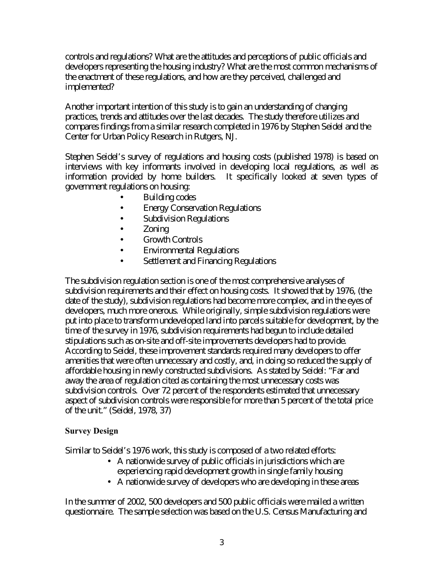controls and regulations? What are the attitudes and perceptions of public officials and developers representing the housing industry? What are the most common mechanisms of the enactment of these regulations, and how are they perceived, challenged and implemented?

Another important intention of this study is to gain an understanding of changing practices, trends and attitudes over the last decades. The study therefore utilizes and compares findings from a similar research completed in 1976 by Stephen Seidel and the Center for Urban Policy Research in Rutgers, NJ.

Stephen Seidel's survey of regulations and housing costs (published 1978) is based on interviews with key informants involved in developing local regulations, as well as information provided by home builders. It specifically looked at seven types of government regulations on housing:

- Building codes
- Energy Conservation Regulations
- Subdivision Regulations
- Zoning
- Growth Controls
- Environmental Regulations
- Settlement and Financing Regulations

The subdivision regulation section is one of the most comprehensive analyses of subdivision requirements and their effect on housing costs. It showed that by 1976, (the date of the study), subdivision regulations had become more complex, and in the eyes of developers, much more onerous. While originally, simple subdivision regulations were put into place to transform undeveloped land into parcels suitable for development, by the time of the survey in 1976, subdivision requirements had begun to include detailed stipulations such as on-site and off-site improvements developers had to provide. According to Seidel, these improvement standards required many developers to offer amenities that were often unnecessary and costly, and, in doing so reduced the supply of affordable housing in newly constructed subdivisions. As stated by Seidel: "Far and away the area of regulation cited as containing the most unnecessary costs was subdivision controls. Over 72 percent of the respondents estimated that unnecessary aspect of subdivision controls were responsible for more than 5 percent of the total price of the unit." (Seidel, 1978, 37)

### **Survey Design**

Similar to Seidel's 1976 work, this study is composed of a two related efforts:

- A nationwide survey of public officials in jurisdictions which are experiencing rapid development growth in single family housing
- A nationwide survey of developers who are developing in these areas

In the summer of 2002, 500 developers and 500 public officials were mailed a written questionnaire. The sample selection was based on the U.S. Census Manufacturing and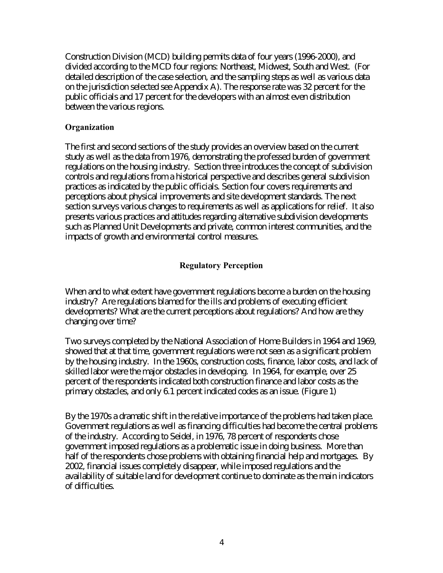Construction Division (MCD) building permits data of four years (1996-2000), and divided according to the MCD four regions: Northeast, Midwest, South and West. (For detailed description of the case selection, and the sampling steps as well as various data on the jurisdiction selected see Appendix A). The response rate was 32 percent for the public officials and 17 percent for the developers with an almost even distribution between the various regions.

### **Organization**

The first and second sections of the study provides an overview based on the current study as well as the data from 1976, demonstrating the professed burden of government regulations on the housing industry. Section three introduces the concept of subdivision controls and regulations from a historical perspective and describes general subdivision practices as indicated by the public officials. Section four covers requirements and perceptions about physical improvements and site development standards. The next section surveys various changes to requirements as well as applications for relief. It also presents various practices and attitudes regarding alternative subdivision developments such as Planned Unit Developments and private, common interest communities, and the impacts of growth and environmental control measures.

### **Regulatory Perception**

When and to what extent have government regulations become a burden on the housing industry? Are regulations blamed for the ills and problems of executing efficient developments? What are the current perceptions about regulations? And how are they changing over time?

Two surveys completed by the National Association of Home Builders in 1964 and 1969, showed that at that time, government regulations were not seen as a significant problem by the housing industry. In the 1960s, construction costs, finance, labor costs, and lack of skilled labor were the major obstacles in developing. In 1964, for example, over 25 percent of the respondents indicated both construction finance and labor costs as the primary obstacles, and only 6.1 percent indicated codes as an issue. (Figure 1)

By the 1970s a dramatic shift in the relative importance of the problems had taken place. Government regulations as well as financing difficulties had become the central problems of the industry. According to Seidel, in 1976, 78 percent of respondents chose government imposed regulations as a problematic issue in doing business. More than half of the respondents chose problems with obtaining financial help and mortgages. By 2002, financial issues completely disappear, while imposed regulations and the availability of suitable land for development continue to dominate as the main indicators of difficulties.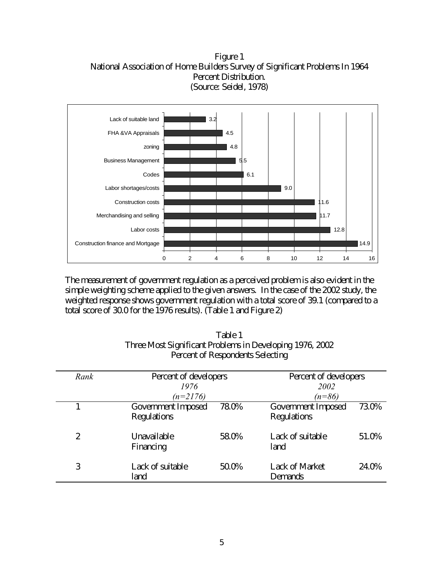Figure 1 National Association of Home Builders Survey of Significant Problems In 1964 Percent Distribution. (Source: Seidel, 1978)



The measurement of government regulation as a perceived problem is also evident in the simple weighting scheme applied to the given answers. In the case of the 2002 study, the weighted response shows government regulation with a total score of 39.1 (compared to a total score of 30.0 for the 1976 results). (Table 1 and Figure 2)

| Rank | Percent of developers<br>1976     |       | Percent of developers<br>2002     |       |
|------|-----------------------------------|-------|-----------------------------------|-------|
|      | $(n=2176)$                        |       | $(n=86)$                          |       |
|      | Government Imposed<br>Regulations | 78.0% | Government Imposed<br>Regulations | 73.0% |
| 2    | Unavailable<br>Financing          | 58.0% | Lack of suitable<br>land          | 51.0% |
| 3    | Lack of suitable<br>land          | 50.0% | <b>Lack of Market</b><br>Demands  | 24.0% |

Table 1 Three Most Significant Problems in Developing 1976, 2002 Percent of Respondents Selecting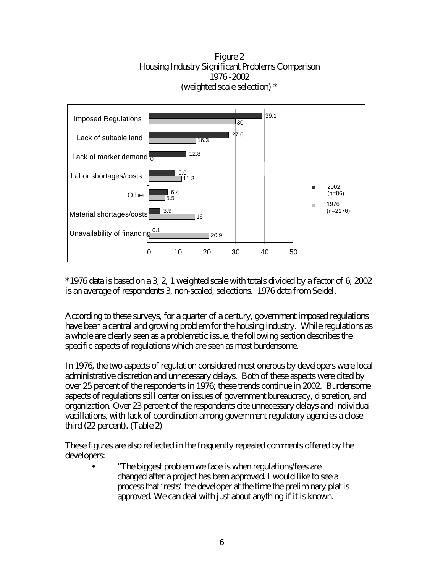Figure 2 Housing Industry Significant Problems Comparison 1976 -2002 (weighted scale selection) \*



\*1976 data is based on a 3, 2, 1 weighted scale with totals divided by a factor of 6; 2002 is an average of respondents 3, non-scaled, selections. 1976 data from Seidel.

According to these surveys, for a quarter of a century, government imposed regulations have been a central and growing problem for the housing industry. While regulations as a whole are clearly seen as a problematic issue, the following section describes the specific aspects of regulations which are seen as most burdensome.

In 1976, the two aspects of regulation considered most onerous by developers were local administrative discretion and unnecessary delays. Both of these aspects were cited by over 25 percent of the respondents in 1976; these trends continue in 2002. Burdensome aspects of regulations still center on issues of government bureaucracy, discretion, and organization. Over 23 percent of the respondents cite unnecessary delays and individual vacillations, with lack of coordination among government regulatory agencies a close third (22 percent). (Table 2)

These figures are also reflected in the frequently repeated comments offered by the developers:

• "The biggest problem we face is when regulations/fees are changed after a project has been approved. I would like to see a process that 'rests' the developer at the time the preliminary plat is approved. We can deal with just about anything if it is known.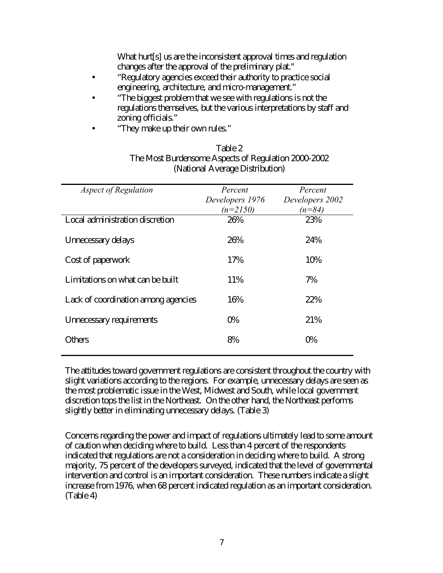What hurt<sup>[s]</sup> us are the inconsistent approval times and regulation changes after the approval of the preliminary plat."

- "Regulatory agencies exceed their authority to practice social engineering, architecture, and micro-management."
- "The biggest problem that we see with regulations is not the regulations themselves, but the various interpretations by staff and zoning officials."
- "They make up their own rules."

### Table 2 The Most Burdensome Aspects of Regulation 2000-2002 (National Average Distribution)

| <b>Aspect of Regulation</b>         | Percent<br>Developers 1976<br>$(n=2150)$ | Percent<br>Developers 2002<br>$(n=84)$ |
|-------------------------------------|------------------------------------------|----------------------------------------|
| Local administration discretion     | 26%                                      | 23%                                    |
| Unnecessary delays                  | 26%                                      | 24%                                    |
| Cost of paperwork                   | 17%                                      | 10%                                    |
| Limitations on what can be built    | 11%                                      | 7%                                     |
| Lack of coordination among agencies | 16%                                      | 22%                                    |
| Unnecessary requirements            | 0%                                       | 21%                                    |
| Others                              | 8%                                       | 0%                                     |

The attitudes toward government regulations are consistent throughout the country with slight variations according to the regions. For example, unnecessary delays are seen as the most problematic issue in the West, Midwest and South, while local government discretion tops the list in the Northeast. On the other hand, the Northeast performs slightly better in eliminating unnecessary delays. (Table 3)

Concerns regarding the power and impact of regulations ultimately lead to some amount of caution when deciding where to build. Less than 4 percent of the respondents indicated that regulations are not a consideration in deciding where to build. A strong majority, 75 percent of the developers surveyed, indicated that the level of governmental intervention and control is an important consideration. These numbers indicate a slight increase from 1976, when 68 percent indicated regulation as an important consideration. (Table 4)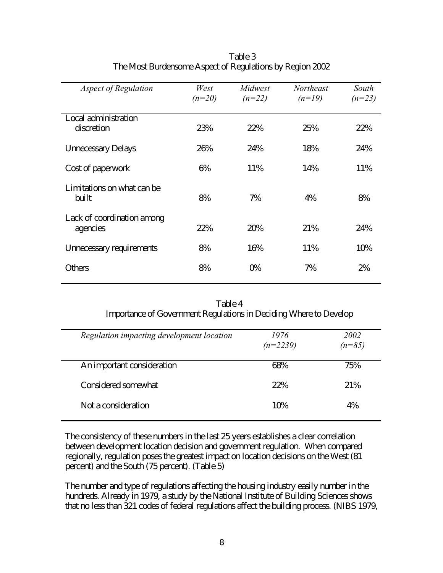| <b>Aspect of Regulation</b>            | West<br>$(n=20)$ | Midwest<br>$(n=22)$ | <b>Northeast</b><br>$(n=19)$ | South<br>$(n=23)$ |
|----------------------------------------|------------------|---------------------|------------------------------|-------------------|
| Local administration<br>discretion     | 23%              | 22%                 | 25%                          | 22%               |
| <b>Unnecessary Delays</b>              | 26%              | 24%                 | 18%                          | 24%               |
| Cost of paperwork                      | 6%               | 11%                 | 14%                          | 11%               |
| Limitations on what can be.<br>built   | 8%               | 7%                  | 4%                           | 8%                |
| Lack of coordination among<br>agencies | 22%              | 20%                 | 21%                          | 24%               |
| Unnecessary requirements               | 8%               | 16%                 | 11%                          | 10%               |
| Others                                 | 8%               | 0%                  | 7%                           | 2%                |

Table 3 The Most Burdensome Aspect of Regulations by Region 2002

| Table 4                                                           |  |
|-------------------------------------------------------------------|--|
| Importance of Government Regulations in Deciding Where to Develop |  |

| Regulation impacting development location | 1976<br>$(n=2239)$ | 2002<br>$(n=85)$ |
|-------------------------------------------|--------------------|------------------|
| An important consideration                | 68%                | 75%              |
| Considered somewhat                       | 22%                | 21%              |
| Not a consideration                       | 10%                | 4%               |

The consistency of these numbers in the last 25 years establishes a clear correlation between development location decision and government regulation. When compared regionally, regulation poses the greatest impact on location decisions on the West (81 percent) and the South (75 percent). (Table 5)

The number and type of regulations affecting the housing industry easily number in the hundreds. Already in 1979, a study by the National Institute of Building Sciences shows that no less than 321 codes of federal regulations affect the building process. (NIBS 1979,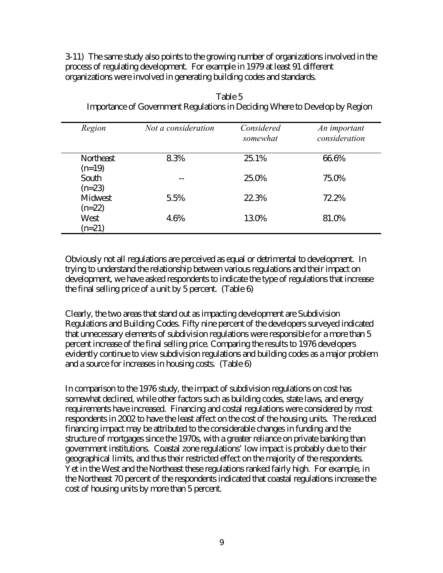3-11) The same study also points to the growing number of organizations involved in the process of regulating development. For example in 1979 at least 91 different organizations were involved in generating building codes and standards.

| Region                | Not a consideration | Considered<br>somewhat | An important<br>consideration |
|-----------------------|---------------------|------------------------|-------------------------------|
| Northeast<br>$(n=19)$ | 8.3%                | 25.1%                  | 66.6%                         |
| South<br>$(n=23)$     |                     | 25.0%                  | 75.0%                         |
| Midwest<br>$(n=22)$   | 5.5%                | 22.3%                  | 72.2%                         |
| West<br>$(n=21)$      | 4.6%                | 13.0%                  | 81.0%                         |

Table 5 Importance of Government Regulations in Deciding Where to Develop by Region

Obviously not all regulations are perceived as equal or detrimental to development. In trying to understand the relationship between various regulations and their impact on development, we have asked respondents to indicate the type of regulations that increase the final selling price of a unit by 5 percent. (Table 6)

Clearly, the two areas that stand out as impacting development are Subdivision Regulations and Building Codes. Fifty nine percent of the developers surveyed indicated that unnecessary elements of subdivision regulations were responsible for a more than 5 percent increase of the final selling price. Comparing the results to 1976 developers evidently continue to view subdivision regulations and building codes as a major problem and a source for increases in housing costs. (Table 6)

In comparison to the 1976 study, the impact of subdivision regulations on cost has somewhat declined, while other factors such as building codes, state laws, and energy requirements have increased. Financing and costal regulations were considered by most respondents in 2002 to have the least affect on the cost of the housing units. The reduced financing impact may be attributed to the considerable changes in funding and the structure of mortgages since the 1970s, with a greater reliance on private banking than government institutions. Coastal zone regulations' low impact is probably due to their geographical limits, and thus their restricted effect on the majority of the respondents. Yet in the West and the Northeast these regulations ranked fairly high. For example, in the Northeast 70 percent of the respondents indicated that coastal regulations increase the cost of housing units by more than 5 percent.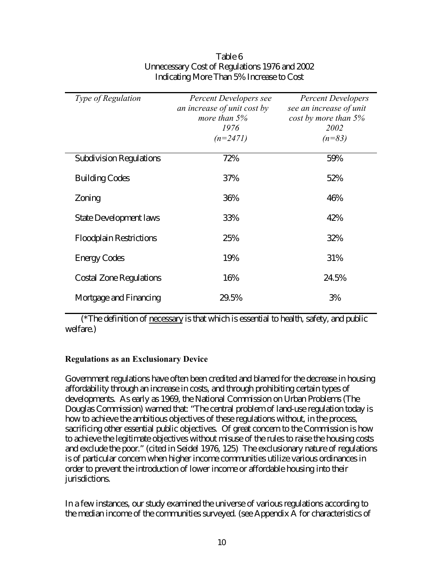| <b>Type of Regulation</b>      | Percent Developers see      | <b>Percent Developers</b> |
|--------------------------------|-----------------------------|---------------------------|
|                                | an increase of unit cost by | see an increase of unit   |
|                                | more than $5%$              | $cost$ by more than $5%$  |
|                                | 1976                        | 2002                      |
|                                | $(n=2471)$                  | $(n=83)$                  |
|                                |                             |                           |
| <b>Subdivision Regulations</b> | 72%                         | 59%                       |
| <b>Building Codes</b>          | 37%                         | 52%                       |
|                                |                             |                           |
| Zoning                         | 36%                         | 46%                       |
|                                |                             |                           |
| <b>State Development laws</b>  | 33%                         | 42%                       |
|                                |                             |                           |
| <b>Floodplain Restrictions</b> | 25%                         | 32%                       |
|                                | 19%                         | 31%                       |
| <b>Energy Codes</b>            |                             |                           |
| <b>Costal Zone Regulations</b> | 16%                         | 24.5%                     |
|                                |                             |                           |
| Mortgage and Financing         | 29.5%                       | 3%                        |
|                                |                             |                           |

### Table 6 Unnecessary Cost of Regulations 1976 and 2002 Indicating More Than 5% Increase to Cost

(\*The definition of necessary is that which is essential to health, safety, and public welfare.)

### **Regulations as an Exclusionary Device**

Government regulations have often been credited and blamed for the decrease in housing affordability through an increase in costs, and through prohibiting certain types of developments. As early as 1969, the National Commission on Urban Problems (The Douglas Commission) warned that: "The central problem of land-use regulation today is how to achieve the ambitious objectives of these regulations without, in the process, sacrificing other essential public objectives. Of great concern to the Commission is how to achieve the legitimate objectives without misuse of the rules to raise the housing costs and exclude the poor." (cited in Seidel 1976, 125) The exclusionary nature of regulations is of particular concern when higher income communities utilize various ordinances in order to prevent the introduction of lower income or affordable housing into their jurisdictions.

In a few instances, our study examined the universe of various regulations according to the median income of the communities surveyed. (see Appendix A for characteristics of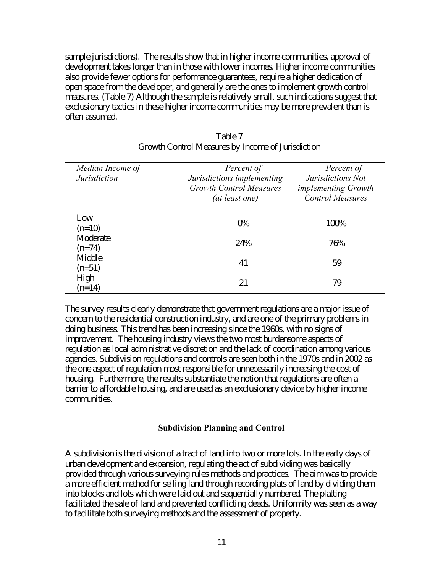sample jurisdictions). The results show that in higher income communities, approval of development takes longer than in those with lower incomes. Higher income communities also provide fewer options for performance guarantees, require a higher dedication of open space from the developer, and generally are the ones to implement growth control measures. (Table 7) Although the sample is relatively small, such indications suggest that exclusionary tactics in these higher income communities may be more prevalent than is often assumed.

| Median Income of<br><b>Jurisdiction</b> | Percent of<br>Jurisdictions implementing<br><b>Growth Control Measures</b><br>(at least one) | Percent of<br>Jurisdictions Not<br><i>implementing Growth</i><br><b>Control Measures</b> |
|-----------------------------------------|----------------------------------------------------------------------------------------------|------------------------------------------------------------------------------------------|
| Low<br>$(n=10)$                         | $0\%$                                                                                        | 100%                                                                                     |
| Moderate<br>$(n=74)$                    | 24%                                                                                          | 76%                                                                                      |
| Middle<br>$(n=51)$                      | 41                                                                                           | 59                                                                                       |
| High<br>$(n=14)$                        | 21                                                                                           | 79                                                                                       |

| Table 7                                           |
|---------------------------------------------------|
| Growth Control Measures by Income of Jurisdiction |

The survey results clearly demonstrate that government regulations are a major issue of concern to the residential construction industry, and are one of the primary problems in doing business. This trend has been increasing since the 1960s, with no signs of improvement. The housing industry views the two most burdensome aspects of regulation as local administrative discretion and the lack of coordination among various agencies. Subdivision regulations and controls are seen both in the 1970s and in 2002 as the one aspect of regulation most responsible for unnecessarily increasing the cost of housing. Furthermore, the results substantiate the notion that regulations are often a barrier to affordable housing, and are used as an exclusionary device by higher income communities.

#### **Subdivision Planning and Control**

A subdivision is the division of a tract of land into two or more lots. In the early days of urban development and expansion, regulating the act of subdividing was basically provided through various surveying rules methods and practices. The aim was to provide a more efficient method for selling land through recording plats of land by dividing them into blocks and lots which were laid out and sequentially numbered. The platting facilitated the sale of land and prevented conflicting deeds. Uniformity was seen as a way to facilitate both surveying methods and the assessment of property.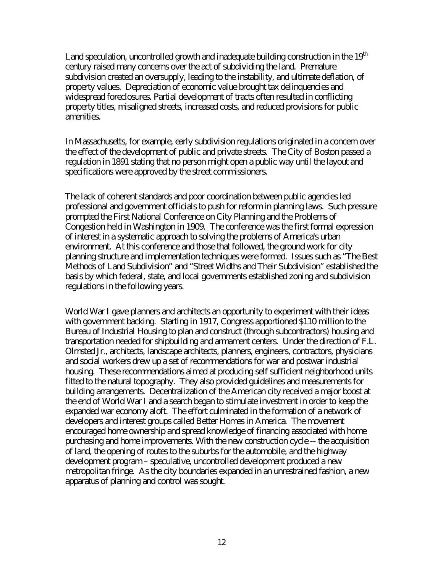Land speculation, uncontrolled growth and inadequate building construction in the  $19<sup>th</sup>$ century raised many concerns over the act of subdividing the land. Premature subdivision created an oversupply, leading to the instability, and ultimate deflation, of property values. Depreciation of economic value brought tax delinquencies and widespread foreclosures. Partial development of tracts often resulted in conflicting property titles, misaligned streets, increased costs, and reduced provisions for public amenities.

In Massachusetts, for example, early subdivision regulations originated in a concern over the effect of the development of public and private streets. The City of Boston passed a regulation in 1891 stating that no person might open a public way until the layout and specifications were approved by the street commissioners.

The lack of coherent standards and poor coordination between public agencies led professional and government officials to push for reform in planning laws. Such pressure prompted the First National Conference on City Planning and the Problems of Congestion held in Washington in 1909. The conference was the first formal expression of interest in a systematic approach to solving the problems of America's urban environment. At this conference and those that followed, the ground work for city planning structure and implementation techniques were formed. Issues such as "The Best Methods of Land Subdivision" and "Street Widths and Their Subdivision" established the basis by which federal, state, and local governments established zoning and subdivision regulations in the following years.

World War I gave planners and architects an opportunity to experiment with their ideas with government backing. Starting in 1917, Congress apportioned \$110 million to the Bureau of Industrial Housing to plan and construct (through subcontractors) housing and transportation needed for shipbuilding and armament centers. Under the direction of F.L. Olmsted Jr., architects, landscape architects, planners, engineers, contractors, physicians and social workers drew up a set of recommendations for war and postwar industrial housing. These recommendations aimed at producing self sufficient neighborhood units fitted to the natural topography. They also provided guidelines and measurements for building arrangements. Decentralization of the American city received a major boost at the end of World War I and a search began to stimulate investment in order to keep the expanded war economy aloft. The effort culminated in the formation of a network of developers and interest groups called Better Homes in America. The movement encouraged home ownership and spread knowledge of financing associated with home purchasing and home improvements. With the new construction cycle -- the acquisition of land, the opening of routes to the suburbs for the automobile, and the highway development program – speculative, uncontrolled development produced a new metropolitan fringe. As the city boundaries expanded in an unrestrained fashion, a new apparatus of planning and control was sought.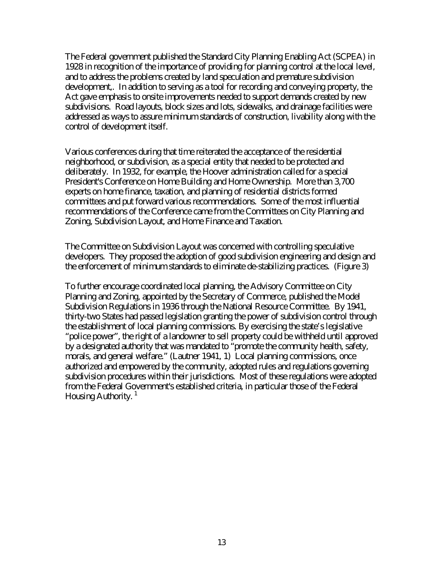The Federal government published the Standard City Planning Enabling Act (SCPEA) in 1928 in recognition of the importance of providing for planning control at the local level, and to address the problems created by land speculation and premature subdivision development,. In addition to serving as a tool for recording and conveying property, the Act gave emphasis to onsite improvements needed to support demands created by new subdivisions. Road layouts, block sizes and lots, sidewalks, and drainage facilities were addressed as ways to assure minimum standards of construction, livability along with the control of development itself.

Various conferences during that time reiterated the acceptance of the residential neighborhood, or subdivision, as a special entity that needed to be protected and deliberately. In 1932, for example, the Hoover administration called for a special President's Conference on Home Building and Home Ownership. More than 3,700 experts on home finance, taxation, and planning of residential districts formed committees and put forward various recommendations. Some of the most influential recommendations of the Conference came from the Committees on City Planning and Zoning, Subdivision Layout, and Home Finance and Taxation.

The Committee on Subdivision Layout was concerned with controlling speculative developers. They proposed the adoption of good subdivision engineering and design and the enforcement of minimum standards to eliminate de-stabilizing practices. (Figure 3)

To further encourage coordinated local planning, the Advisory Committee on City Planning and Zoning, appointed by the Secretary of Commerce, published the Model Subdivision Regulations in 1936 through the National Resource Committee. By 1941, thirty-two States had passed legislation granting the power of subdivision control through the establishment of local planning commissions. By exercising the state's legislative "police power", the right of a landowner to sell property could be withheld until approved by a designated authority that was mandated to "promote the community health, safety, morals, and general welfare." (Lautner 1941, 1) Local planning commissions, once authorized and empowered by the community, adopted rules and regulations governing subdivision procedures within their jurisdictions. Most of these regulations were adopted from the Federal Government's established criteria, in particular those of the Federal Housing Authority. $<sup>1</sup>$ </sup>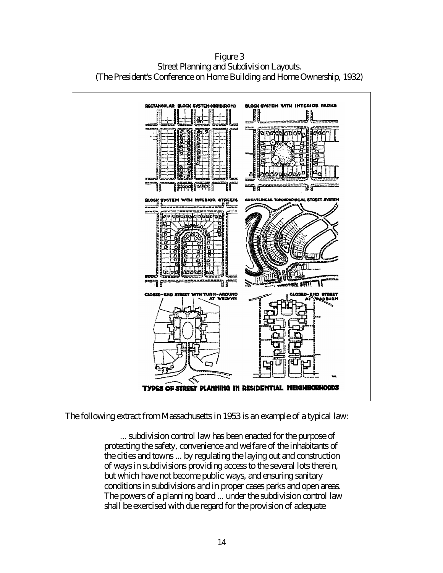

Figure 3 Street Planning and Subdivision Layouts. (The President's Conference on Home Building and Home Ownership, 1932)

The following extract from Massachusetts in 1953 is an example of a typical law:

... subdivision control law has been enacted for the purpose of protecting the safety, convenience and welfare of the inhabitants of the cities and towns ... by regulating the laying out and construction of ways in subdivisions providing access to the several lots therein, but which have not become public ways, and ensuring sanitary conditions in subdivisions and in proper cases parks and open areas. The powers of a planning board ... under the subdivision control law shall be exercised with due regard for the provision of adequate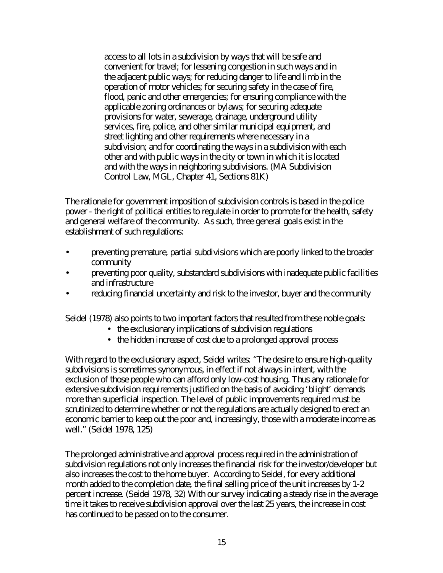access to all lots in a subdivision by ways that will be safe and convenient for travel; for lessening congestion in such ways and in the adjacent public ways; for reducing danger to life and limb in the operation of motor vehicles; for securing safety in the case of fire, flood, panic and other emergencies; for ensuring compliance with the applicable zoning ordinances or bylaws; for securing adequate provisions for water, sewerage, drainage, underground utility services, fire, police, and other similar municipal equipment, and street lighting and other requirements where necessary in a subdivision; and for coordinating the ways in a subdivision with each other and with public ways in the city or town in which it is located and with the ways in neighboring subdivisions. (MA Subdivision Control Law, MGL, Chapter 41, Sections 81K)

The rationale for government imposition of subdivision controls is based in the police power - the right of political entities to regulate in order to promote for the health, safety and general welfare of the community. As such, three general goals exist in the establishment of such regulations:

- preventing premature, partial subdivisions which are poorly linked to the broader community
- preventing poor quality, substandard subdivisions with inadequate public facilities and infrastructure
- reducing financial uncertainty and risk to the investor, buyer and the community

Seidel (1978) also points to two important factors that resulted from these noble goals:

- the exclusionary implications of subdivision regulations
- the hidden increase of cost due to a prolonged approval process

With regard to the exclusionary aspect, Seidel writes: "The desire to ensure high-quality subdivisions is sometimes synonymous, in effect if not always in intent, with the exclusion of those people who can afford only low-cost housing. Thus any rationale for extensive subdivision requirements justified on the basis of avoiding 'blight' demands more than superficial inspection. The level of public improvements required must be scrutinized to determine whether or not the regulations are actually designed to erect an economic barrier to keep out the poor and, increasingly, those with a moderate income as well." (Seidel 1978, 125)

The prolonged administrative and approval process required in the administration of subdivision regulations not only increases the financial risk for the investor/developer but also increases the cost to the home buyer. According to Seidel, for every additional month added to the completion date, the final selling price of the unit increases by 1-2 percent increase. (Seidel 1978, 32) With our survey indicating a steady rise in the average time it takes to receive subdivision approval over the last 25 years, the increase in cost has continued to be passed on to the consumer.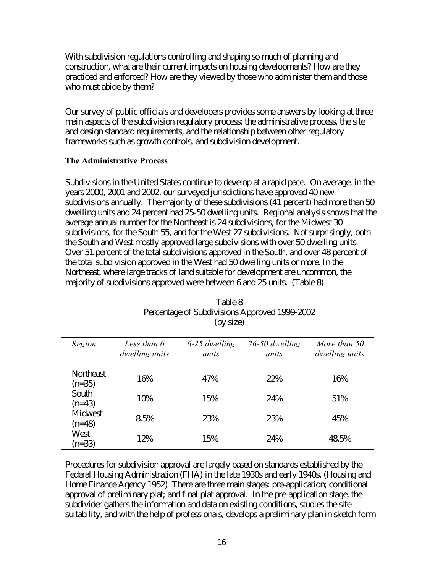With subdivision regulations controlling and shaping so much of planning and construction, what are their current impacts on housing developments? How are they practiced and enforced? How are they viewed by those who administer them and those who must abide by them?

Our survey of public officials and developers provides some answers by looking at three main aspects of the subdivision regulatory process: the administrative process, the site and design standard requirements, and the relationship between other regulatory frameworks such as growth controls, and subdivision development.

### **The Administrative Process**

Subdivisions in the United States continue to develop at a rapid pace. On average, in the years 2000, 2001 and 2002, our surveyed jurisdictions have approved 40 new subdivisions annually. The majority of these subdivisions (41 percent) had more than 50 dwelling units and 24 percent had 25-50 dwelling units. Regional analysis shows that the average annual number for the Northeast is 24 subdivisions, for the Midwest 30 subdivisions, for the South 55, and for the West 27 subdivisions. Not surprisingly, both the South and West mostly approved large subdivisions with over 50 dwelling units. Over 51 percent of the total subdivisions approved in the South, and over 48 percent of the total subdivision approved in the West had 50 dwelling units or more. In the Northeast, where large tracks of land suitable for development are uncommon, the majority of subdivisions approved were between 6 and 25 units. (Table 8)

| Region                | Less than 6<br>dwelling units | 6-25 dwelling<br>units | $26-50$ dwelling<br>units | More than 50<br><i>dwelling units</i> |
|-----------------------|-------------------------------|------------------------|---------------------------|---------------------------------------|
| Northeast<br>$(n=35)$ | 16%                           | 47%                    | 22%                       | 16%                                   |
| South<br>$(n=43)$     | 10%                           | 15%                    | 24%                       | 51%                                   |
| Midwest<br>$(n=48)$   | 8.5%                          | 23%                    | 23%                       | 45%                                   |
| West<br>$(n=33)$      | 12%                           | 15%                    | 24%                       | 48.5%                                 |

| Table 8                                       |
|-----------------------------------------------|
| Percentage of Subdivisions Approved 1999-2002 |
| (by size)                                     |

Procedures for subdivision approval are largely based on standards established by the Federal Housing Administration (FHA) in the late 1930s and early 1940s. (Housing and Home Finance Agency 1952) There are three main stages: pre-application; conditional approval of preliminary plat; and final plat approval. In the pre-application stage, the subdivider gathers the information and data on existing conditions, studies the site suitability, and with the help of professionals, develops a preliminary plan in sketch form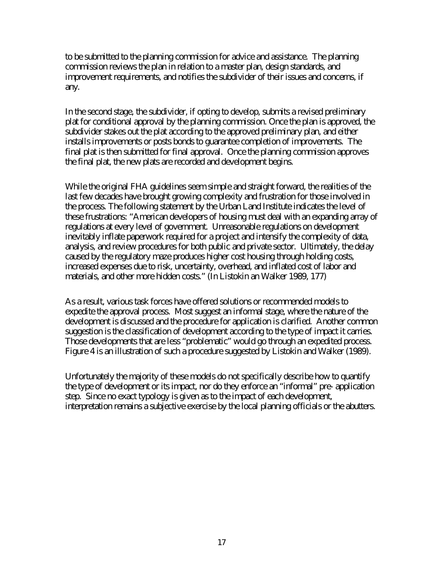to be submitted to the planning commission for advice and assistance. The planning commission reviews the plan in relation to a master plan, design standards, and improvement requirements, and notifies the subdivider of their issues and concerns, if any.

In the second stage, the subdivider, if opting to develop, submits a revised preliminary plat for conditional approval by the planning commission. Once the plan is approved, the subdivider stakes out the plat according to the approved preliminary plan, and either installs improvements or posts bonds to guarantee completion of improvements. The final plat is then submitted for final approval. Once the planning commission approves the final plat, the new plats are recorded and development begins.

While the original FHA guidelines seem simple and straight forward, the realities of the last few decades have brought growing complexity and frustration for those involved in the process. The following statement by the Urban Land Institute indicates the level of these frustrations: "American developers of housing must deal with an expanding array of regulations at every level of government. Unreasonable regulations on development inevitably inflate paperwork required for a project and intensify the complexity of data, analysis, and review procedures for both public and private sector. Ultimately, the delay caused by the regulatory maze produces higher cost housing through holding costs, increased expenses due to risk, uncertainty, overhead, and inflated cost of labor and materials, and other more hidden costs." (In Listokin an Walker 1989, 177)

As a result, various task forces have offered solutions or recommended models to expedite the approval process. Most suggest an informal stage, where the nature of the development is discussed and the procedure for application is clarified. Another common suggestion is the classification of development according to the type of impact it carries. Those developments that are less "problematic" would go through an expedited process. Figure 4 is an illustration of such a procedure suggested by Listokin and Walker (1989).

Unfortunately the majority of these models do not specifically describe how to quantify the type of development or its impact, nor do they enforce an "informal" pre- application step. Since no exact typology is given as to the impact of each development, interpretation remains a subjective exercise by the local planning officials or the abutters.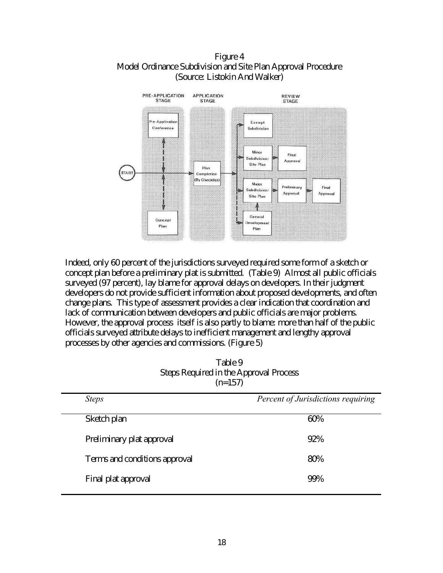Figure 4 Model Ordinance Subdivision and Site Plan Approval Procedure (Source: Listokin And Walker)



Indeed, only 60 percent of the jurisdictions surveyed required some form of a sketch or concept plan before a preliminary plat is submitted. (Table 9) Almost all public officials surveyed (97 percent), lay blame for approval delays on developers. In their judgment developers do not provide sufficient information about proposed developments, and often change plans. This type of assessment provides a clear indication that coordination and lack of communication between developers and public officials are major problems. However, the approval process itself is also partly to blame: more than half of the public officials surveyed attribute delays to inefficient management and lengthy approval processes by other agencies and commissions. (Figure 5)

| Table 9                                       |
|-----------------------------------------------|
| <b>Steps Required in the Approval Process</b> |
| $(n=157)$                                     |

| <b>Steps</b>                  | Percent of Jurisdictions requiring |
|-------------------------------|------------------------------------|
| Sketch plan                   | 60%                                |
| Preliminary plat approval     | 92%                                |
| Terms and conditions approval | 80%                                |
| Final plat approval           | 99%                                |
|                               |                                    |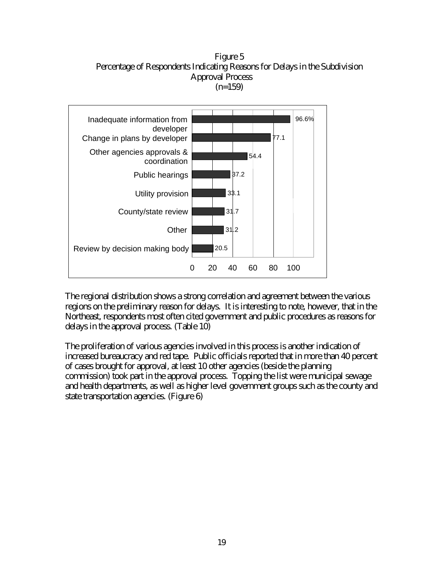Figure 5 Percentage of Respondents Indicating Reasons for Delays in the Subdivision Approval Process  $(n=159)$ 



The regional distribution shows a strong correlation and agreement between the various regions on the preliminary reason for delays. It is interesting to note, however, that in the Northeast, respondents most often cited government and public procedures as reasons for delays in the approval process. (Table 10)

The proliferation of various agencies involved in this process is another indication of increased bureaucracy and red tape. Public officials reported that in more than 40 percent of cases brought for approval, at least 10 other agencies (beside the planning commission) took part in the approval process. Topping the list were municipal sewage and health departments, as well as higher level government groups such as the county and state transportation agencies. (Figure 6)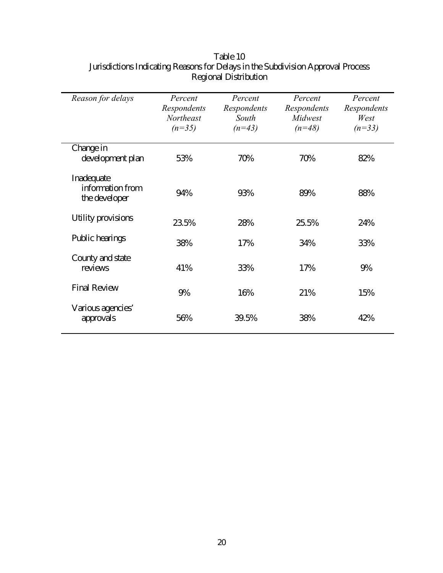| Reason for delays                               | Percent<br>Respondents<br>Northeast<br>$(n=35)$ | Percent<br>Respondents<br>South<br>$(n=43)$ | Percent<br>Respondents<br>Midwest<br>$(n=48)$ | Percent<br>Respondents<br>West<br>$(n=33)$ |
|-------------------------------------------------|-------------------------------------------------|---------------------------------------------|-----------------------------------------------|--------------------------------------------|
| Change in<br>development plan                   | 53%                                             | 70%                                         | 70%                                           | 82%                                        |
| Inadequate<br>information from<br>the developer | 94%                                             | 93%                                         | 89%                                           | 88%                                        |
| Utility provisions                              | 23.5%                                           | 28%                                         | 25.5%                                         | 24%                                        |
| Public hearings                                 | 38%                                             | 17%                                         | 34%                                           | 33%                                        |
| County and state<br>reviews                     | 41%                                             | 33%                                         | 17%                                           | 9%                                         |
| <b>Final Review</b>                             | 9%                                              | 16%                                         | 21%                                           | 15%                                        |
| Various agencies'<br>approvals                  | 56%                                             | 39.5%                                       | 38%                                           | 42%                                        |

## Table 10 Jurisdictions Indicating Reasons for Delays in the Subdivision Approval Process Regional Distribution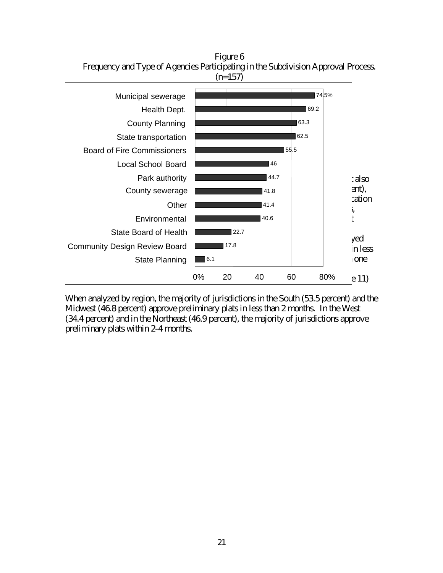

Figure 6 Frequency and Type of Agencies Participating in the Subdivision Approval Process.

When analyzed by region, the majority of jurisdictions in the South (53.5 percent) and the Midwest (46.8 percent) approve preliminary plats in less than 2 months. In the West (34.4 percent) and in the Northeast (46.9 percent), the majority of jurisdictions approve preliminary plats within 2-4 months.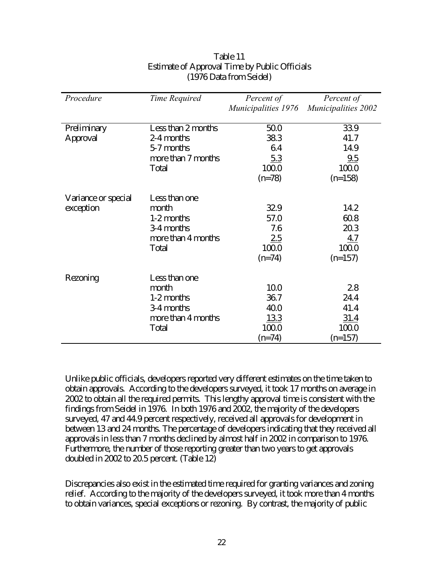| Procedure           | Time Required      | Percent of                 | Percent of                 |
|---------------------|--------------------|----------------------------|----------------------------|
|                     |                    | <i>Municipalities 1976</i> | <b>Municipalities 2002</b> |
|                     |                    |                            |                            |
| Preliminary         | Less than 2 months | 50.0                       | 33.9                       |
| Approval            | 2-4 months         | 38.3                       | 41.7                       |
|                     | 5-7 months         | 6.4                        | 14.9                       |
|                     | more than 7 months | 5.3                        | 9.5                        |
|                     | Total              | 100.0                      | 100.0                      |
|                     |                    | $(n=78)$                   | $(n=158)$                  |
|                     |                    |                            |                            |
| Variance or special | Less than one      |                            |                            |
| exception           | month              | 32.9                       | 14.2                       |
|                     | 1-2 months         | 57.0                       | 60.8                       |
|                     | 3-4 months         | 7.6                        | 20.3                       |
|                     | more than 4 months | 2.5                        | <u>4.7</u>                 |
|                     | Total              | 100.0                      | 100.0                      |
|                     |                    | $(n=74)$                   | $(n=157)$                  |
|                     |                    |                            |                            |
| Rezoning            | Less than one      |                            |                            |
|                     | month              | 10.0                       | 2.8                        |
|                     | 1-2 months         | 36.7                       | 24.4                       |
|                     | 3-4 months         | 40.0                       | 41.4                       |
|                     | more than 4 months | <u>13.3</u>                | <u>31.4</u>                |
|                     | Total              | 100.0                      | 100.0                      |
|                     |                    | $(n=74)$                   | $(n=157)$                  |

### Table 11 Estimate of Approval Time by Public Officials (1976 Data from Seidel)

Unlike public officials, developers reported very different estimates on the time taken to obtain approvals. According to the developers surveyed, it took 17 months on average in 2002 to obtain all the required permits. This lengthy approval time is consistent with the findings from Seidel in 1976. In both 1976 and 2002, the majority of the developers surveyed, 47 and 44.9 percent respectively, received all approvals for development in between 13 and 24 months. The percentage of developers indicating that they received all approvals in less than 7 months declined by almost half in 2002 in comparison to 1976. Furthermore, the number of those reporting greater than two years to get approvals doubled in 2002 to 20.5 percent. (Table 12)

Discrepancies also exist in the estimated time required for granting variances and zoning relief. According to the majority of the developers surveyed, it took more than 4 months to obtain variances, special exceptions or rezoning. By contrast, the majority of public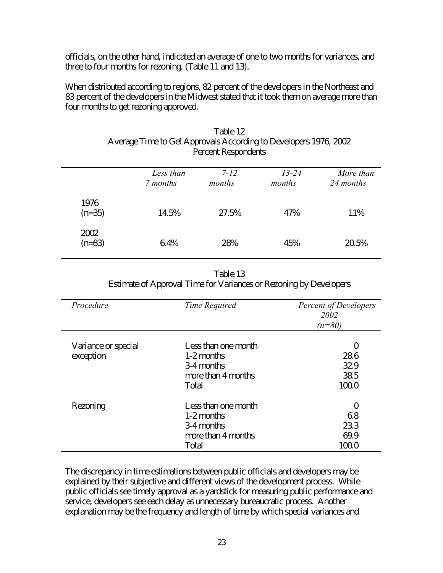officials, on the other hand, indicated an average of one to two months for variances, and three to four months for rezoning. (Table 11 and 13).

When distributed according to regions, 82 percent of the developers in the Northeast and 83 percent of the developers in the Midwest stated that it took them on average more than four months to get rezoning approved.

|                  | Less than<br>7 months | $7 - 12$<br>months | $13 - 24$<br>months | More than<br>24 months |
|------------------|-----------------------|--------------------|---------------------|------------------------|
| 1976<br>$(n=35)$ | 14.5%                 | 27.5%              | 47%                 | 11%                    |
| 2002<br>$(n=83)$ | 6.4%                  | 28%                | 45%                 | 20.5%                  |

Table 12 Average Time to Get Approvals According to Developers 1976, 2002 Percent Respondents

| Table 13                                                          |
|-------------------------------------------------------------------|
| Estimate of Approval Time for Variances or Rezoning by Developers |

| Procedure                        | Time Required                                                                  | <b>Percent of Developers</b><br>2002<br>$(n=80)$ |
|----------------------------------|--------------------------------------------------------------------------------|--------------------------------------------------|
| Variance or special<br>exception | Less than one month<br>1-2 months<br>3-4 months<br>more than 4 months<br>Total | 0<br>28.6<br>32.9<br>38.5<br>100.0               |
| Rezoning                         | Less than one month<br>1-2 months<br>3-4 months<br>more than 4 months<br>Total | 0<br>6.8<br>23.3<br>69.9<br>100.0                |

The discrepancy in time estimations between public officials and developers may be explained by their subjective and different views of the development process. While public officials see timely approval as a yardstick for measuring public performance and service, developers see each delay as unnecessary bureaucratic process. Another explanation may be the frequency and length of time by which special variances and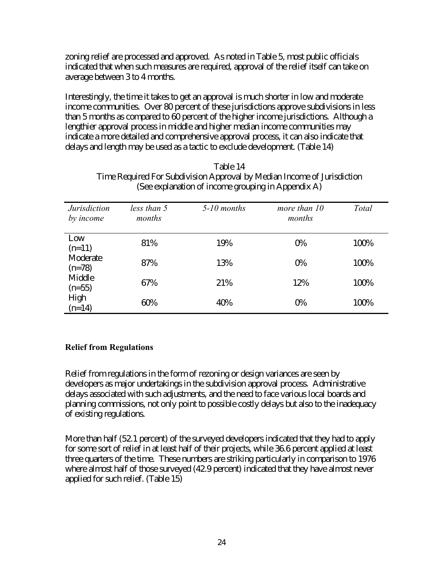zoning relief are processed and approved. As noted in Table 5, most public officials indicated that when such measures are required, approval of the relief itself can take on average between 3 to 4 months.

Interestingly, the time it takes to get an approval is much shorter in low and moderate income communities. Over 80 percent of these jurisdictions approve subdivisions in less than 5 months as compared to 60 percent of the higher income jurisdictions. Although a lengthier approval process in middle and higher median income communities may indicate a more detailed and comprehensive approval process, it can also indicate that delays and length may be used as a tactic to exclude development. (Table 14)

|                                  |                       | $\mu$ and $\mu$ and $\mu$ and $\mu$ and $\mu$ and $\mu$ and $\mu$ and $\mu$ |                          |       |
|----------------------------------|-----------------------|-----------------------------------------------------------------------------|--------------------------|-------|
| <i>Jurisdiction</i><br>by income | less than 5<br>months | $5-10$ months                                                               | more than $10$<br>months | Total |
| Low<br>$(n=11)$                  | 81%                   | 19%                                                                         | 0%                       | 100%  |
| Moderate<br>$(n=78)$             | 87%                   | 13%                                                                         | 0%                       | 100%  |
| Middle<br>$(n=55)$               | 67%                   | 21%                                                                         | 12%                      | 100%  |
| High<br>$(n=14)$                 | 60%                   | 40%                                                                         | 0%                       | 100%  |

Table 14 Time Required For Subdivision Approval by Median Income of Jurisdiction (See explanation of income grouping in Appendix A)

## **Relief from Regulations**

Relief from regulations in the form of rezoning or design variances are seen by developers as major undertakings in the subdivision approval process. Administrative delays associated with such adjustments, and the need to face various local boards and planning commissions, not only point to possible costly delays but also to the inadequacy of existing regulations.

More than half (52.1 percent) of the surveyed developers indicated that they had to apply for some sort of relief in at least half of their projects, while 36.6 percent applied at least three quarters of the time. These numbers are striking particularly in comparison to 1976 where almost half of those surveyed (42.9 percent) indicated that they have almost never applied for such relief. (Table 15)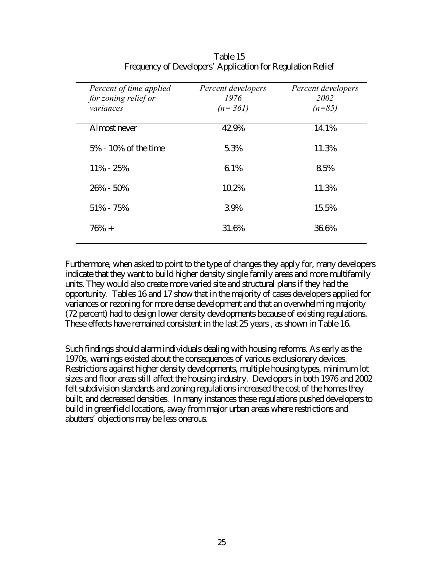| Percent of time applied<br>for zoning relief or | Percent developers<br>1976 | Percent developers<br>2002 |
|-------------------------------------------------|----------------------------|----------------------------|
| variances                                       | $(n=361)$                  | $(n=85)$                   |
| Almost never                                    | 42.9%                      | 14.1%                      |
| 5% - 10% of the time                            | 5.3%                       | 11.3%                      |
| $11\% - 25\%$                                   | 6.1%                       | 8.5%                       |
| $26\% - 50\%$                                   | 10.2%                      | 11.3%                      |
| 51% - 75%                                       | 3.9%                       | 15.5%                      |
| $76% +$                                         | 31.6%                      | 36.6%                      |

Table 15 Frequency of Developers' Application for Regulation Relief

Furthermore, when asked to point to the type of changes they apply for, many developers indicate that they want to build higher density single family areas and more multifamily units. They would also create more varied site and structural plans if they had the opportunity. Tables 16 and 17 show that in the majority of cases developers applied for variances or rezoning for more dense development and that an overwhelming majority (72 percent) had to design lower density developments because of existing regulations. These effects have remained consistent in the last 25 years , as shown in Table 16.

Such findings should alarm individuals dealing with housing reforms. As early as the 1970s, warnings existed about the consequences of various exclusionary devices. Restrictions against higher density developments, multiple housing types, minimum lot sizes and floor areas still affect the housing industry. Developers in both 1976 and 2002 felt subdivision standards and zoning regulations increased the cost of the homes they built, and decreased densities. In many instances these regulations pushed developers to build in greenfield locations, away from major urban areas where restrictions and abutters' objections may be less onerous.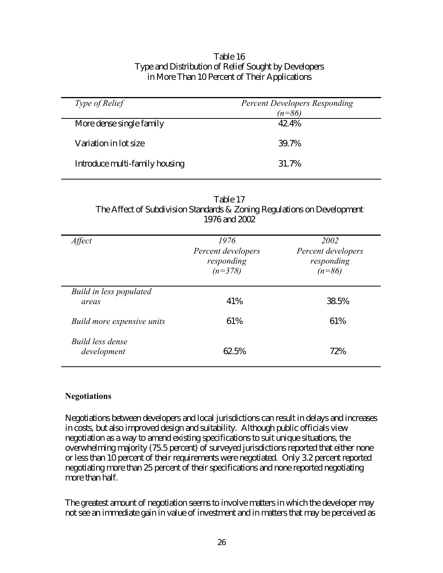| Table 16                                             |
|------------------------------------------------------|
| Type and Distribution of Relief Sought by Developers |
| in More Than 10 Percent of Their Applications        |

| Type of Relief                 | <b>Percent Developers Responding</b><br>$(n=86)$ |
|--------------------------------|--------------------------------------------------|
| More dense single family       | 42.4%                                            |
| Variation in lot size          | 39.7%                                            |
| Introduce multi-family housing | 31.7%                                            |

| Table 17                                                                |
|-------------------------------------------------------------------------|
| The Affect of Subdivision Standards & Zoning Regulations on Development |
| 1976 and 2002                                                           |

| Affect                           | 1976<br>Percent developers<br>responding<br>$(n=378)$ | 2002<br>Percent developers<br>responding<br>$(n=86)$ |
|----------------------------------|-------------------------------------------------------|------------------------------------------------------|
| Build in less populated<br>areas | 41%                                                   | 38.5%                                                |
| Build more expensive units       | 61%                                                   | 61%                                                  |
| Build less dense<br>development  | 62.5%                                                 | 72%                                                  |

#### **Negotiations**

Negotiations between developers and local jurisdictions can result in delays and increases in costs, but also improved design and suitability. Although public officials view negotiation as a way to amend existing specifications to suit unique situations, the overwhelming majority (75.5 percent) of surveyed jurisdictions reported that either none or less than 10 percent of their requirements were negotiated. Only 3.2 percent reported negotiating more than 25 percent of their specifications and none reported negotiating more than half.

The greatest amount of negotiation seems to involve matters in which the developer may not see an immediate gain in value of investment and in matters that may be perceived as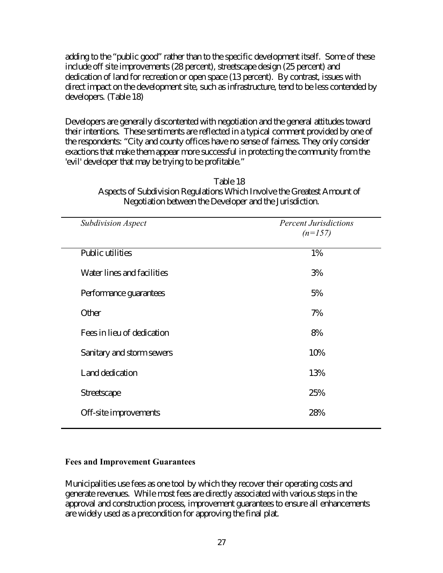adding to the "public good" rather than to the specific development itself. Some of these include off site improvements (28 percent), streetscape design (25 percent) and dedication of land for recreation or open space (13 percent). By contrast, issues with direct impact on the development site, such as infrastructure, tend to be less contended by developers. (Table 18)

Developers are generally discontented with negotiation and the general attitudes toward their intentions. These sentiments are reflected in a typical comment provided by one of the respondents: "City and county offices have no sense of fairness. They only consider exactions that make them appear more successful in protecting the community from the 'evil' developer that may be trying to be profitable."

| <b>Percent Jurisdictions</b><br>$(n=157)$ |
|-------------------------------------------|
| 1%                                        |
| 3%                                        |
| 5%                                        |
| 7%                                        |
| 8%                                        |
| 10%                                       |
| 13%                                       |
| 25%                                       |
| 28%                                       |
|                                           |

Table 18 Aspects of Subdivision Regulations Which Involve the Greatest Amount of Negotiation between the Developer and the Jurisdiction.

### **Fees and Improvement Guarantees**

Municipalities use fees as one tool by which they recover their operating costs and generate revenues. While most fees are directly associated with various steps in the approval and construction process, improvement guarantees to ensure all enhancements are widely used as a precondition for approving the final plat.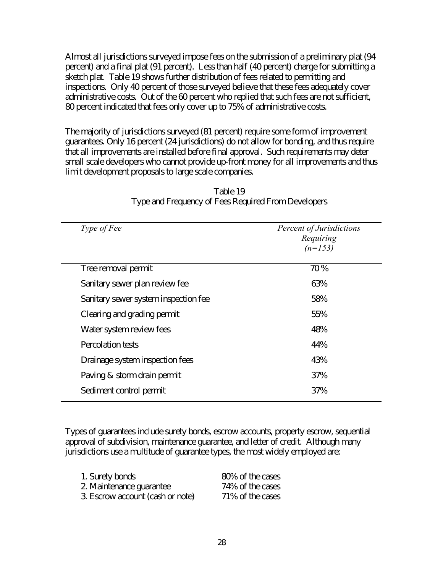Almost all jurisdictions surveyed impose fees on the submission of a preliminary plat (94 percent) and a final plat (91 percent). Less than half (40 percent) charge for submitting a sketch plat. Table 19 shows further distribution of fees related to permitting and inspections. Only 40 percent of those surveyed believe that these fees adequately cover administrative costs. Out of the 60 percent who replied that such fees are not sufficient, 80 percent indicated that fees only cover up to 75% of administrative costs.

The majority of jurisdictions surveyed (81 percent) require some form of improvement guarantees. Only 16 percent (24 jurisdictions) do not allow for bonding, and thus require that all improvements are installed before final approval. Such requirements may deter small scale developers who cannot provide up-front money for all improvements and thus limit development proposals to large scale companies.

| <i>Type of Fee</i>                   | Percent of Jurisdictions<br>Requiring<br>$(n=153)$ |
|--------------------------------------|----------------------------------------------------|
| Tree removal permit                  | 70 %                                               |
| Sanitary sewer plan review fee       | 63%                                                |
| Sanitary sewer system inspection fee | 58%                                                |
| Clearing and grading permit          | 55%                                                |
| Water system review fees             | 48%                                                |
| <b>Percolation tests</b>             | 44%                                                |
| Drainage system inspection fees      | 43%                                                |
| Paving & storm drain permit          | 37%                                                |
| Sediment control permit              | 37%                                                |

## Table 19 Type and Frequency of Fees Required From Developers

Types of guarantees include surety bonds, escrow accounts, property escrow, sequential approval of subdivision, maintenance guarantee, and letter of credit. Although many jurisdictions use a multitude of guarantee types, the most widely employed are:

| 1. Surety bonds                  | 80% of the cases |
|----------------------------------|------------------|
| 2. Maintenance guarantee         | 74% of the cases |
| 3. Escrow account (cash or note) | 71% of the cases |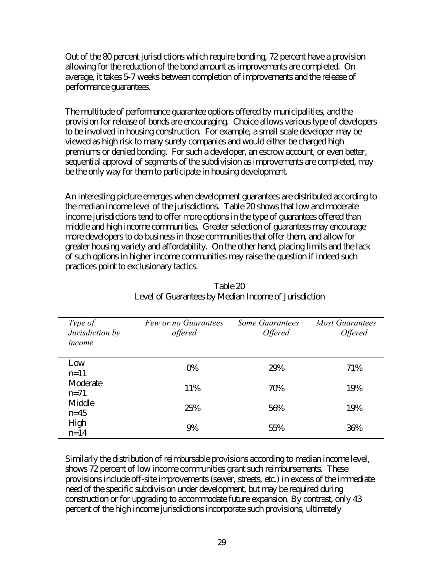Out of the 80 percent jurisdictions which require bonding, 72 percent have a provision allowing for the reduction of the bond amount as improvements are completed. On average, it takes 5-7 weeks between completion of improvements and the release of performance guarantees.

The multitude of performance guarantee options offered by municipalities, and the provision for release of bonds are encouraging. Choice allows various type of developers to be involved in housing construction. For example, a small scale developer may be viewed as high risk to many surety companies and would either be charged high premiums or denied bonding. For such a developer, an escrow account, or even better, sequential approval of segments of the subdivision as improvements are completed, may be the only way for them to participate in housing development.

An interesting picture emerges when development guarantees are distributed according to the median income level of the jurisdictions. Table 20 shows that low and moderate income jurisdictions tend to offer more options in the type of guarantees offered than middle and high income communities. Greater selection of guarantees may encourage more developers to do business in those communities that offer them, and allow for greater housing variety and affordability. On the other hand, placing limits and the lack of such options in higher income communities may raise the question if indeed such practices point to exclusionary tactics.

| Type of<br>Jurisdiction by<br>income | Few or no Guarantees<br>offered | Some Guarantees<br><i><b>Offered</b></i> | <b>Most Guarantees</b><br><i><b>Offered</b></i> |
|--------------------------------------|---------------------------------|------------------------------------------|-------------------------------------------------|
| Low<br>$n=11$                        | 0%                              | 29%                                      | 71%                                             |
| Moderate<br>$n=71$                   | 11%                             | 70%                                      | 19%                                             |
| Middle<br>$n=45$                     | 25%                             | 56%                                      | 19%                                             |
| High<br>$n=14$                       | 9%                              | 55%                                      | 36%                                             |

Table 20 Level of Guarantees by Median Income of Jurisdiction

Similarly the distribution of reimbursable provisions according to median income level, shows 72 percent of low income communities grant such reimbursements. These provisions include off-site improvements (sewer, streets, etc.) in excess of the immediate need of the specific subdivision under development, but may be required during construction or for upgrading to accommodate future expansion. By contrast, only 43 percent of the high income jurisdictions incorporate such provisions, ultimately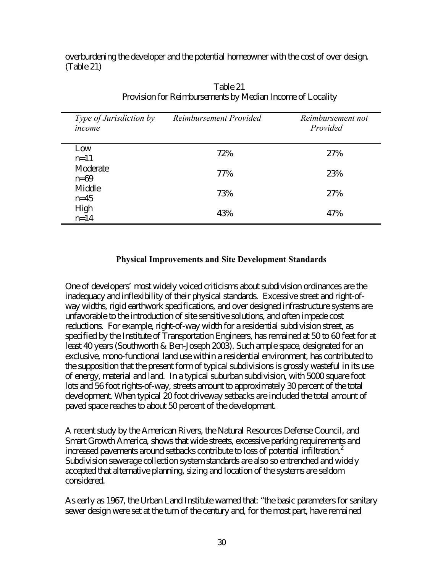overburdening the developer and the potential homeowner with the cost of over design. (Table 21)

| Type of Jurisdiction by<br>income | Reimbursement Provided | Reimbursement not<br>Provided |
|-----------------------------------|------------------------|-------------------------------|
| Low<br>$n=11$                     | 72%                    | 27%                           |
| Moderate<br>$n=69$                | 77%                    | 23%                           |
| Middle<br>$n=45$                  | 73%                    | 27%                           |
| High<br>$n = 14$                  | 43%                    | 47%                           |

Table 21 Provision for Reimbursements by Median Income of Locality

## **Physical Improvements and Site Development Standards**

One of developers' most widely voiced criticisms about subdivision ordinances are the inadequacy and inflexibility of their physical standards. Excessive street and right-ofway widths, rigid earthwork specifications, and over designed infrastructure systems are unfavorable to the introduction of site sensitive solutions, and often impede cost reductions. For example, right-of-way width for a residential subdivision street, as specified by the Institute of Transportation Engineers, has remained at 50 to 60 feet for at least 40 years (Southworth & Ben-Joseph 2003). Such ample space, designated for an exclusive, mono-functional land use within a residential environment, has contributed to the supposition that the present form of typical subdivisions is grossly wasteful in its use of energy, material and land. In a typical suburban subdivision, with 5000 square foot lots and 56 foot rights-of-way, streets amount to approximately 30 percent of the total development. When typical 20 foot driveway setbacks are included the total amount of paved space reaches to about 50 percent of the development.

A recent study by the American Rivers, the Natural Resources Defense Council, and Smart Growth America, shows that wide streets, excessive parking requirements and increased pavements around setbacks contribute to loss of potential infiltration.<sup>2</sup> Subdivision sewerage collection system standards are also so entrenched and widely accepted that alternative planning, sizing and location of the systems are seldom considered.

As early as 1967, the Urban Land Institute warned that: "the basic parameters for sanitary sewer design were set at the turn of the century and, for the most part, have remained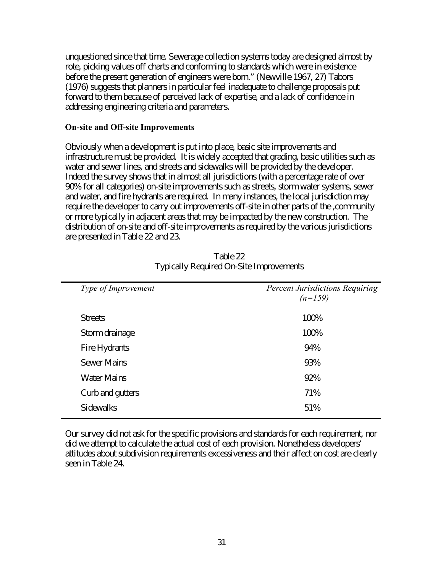unquestioned since that time. Sewerage collection systems today are designed almost by rote, picking values off charts and conforming to standards which were in existence before the present generation of engineers were born." (Newville 1967, 27) Tabors (1976) suggests that planners in particular feel inadequate to challenge proposals put forward to them because of perceived lack of expertise, and a lack of confidence in addressing engineering criteria and parameters.

#### **On-site and Off-site Improvements**

Obviously when a development is put into place, basic site improvements and infrastructure must be provided. It is widely accepted that grading, basic utilities such as water and sewer lines, and streets and sidewalks will be provided by the developer. Indeed the survey shows that in almost all jurisdictions (with a percentage rate of over 90% for all categories) on-site improvements such as streets, storm water systems, sewer and water, and fire hydrants are required. In many instances, the local jurisdiction may require the developer to carry out improvements off-site in other parts of the ,community or more typically in adjacent areas that may be impacted by the new construction. The distribution of on-site and off-site improvements as required by the various jurisdictions are presented in Table 22 and 23.

| Type of Improvement | <b>Percent Jurisdictions Requiring</b><br>$(n=159)$ |
|---------------------|-----------------------------------------------------|
| <b>Streets</b>      | 100%                                                |
| Storm drainage      | 100%                                                |
| Fire Hydrants       | 94%                                                 |
| <b>Sewer Mains</b>  | 93%                                                 |
| <b>Water Mains</b>  | 92%                                                 |
| Curb and gutters    | 71%                                                 |
| <b>Sidewalks</b>    | 51%                                                 |
|                     |                                                     |

Table 22 Typically Required On-Site Improvements

Our survey did not ask for the specific provisions and standards for each requirement, nor did we attempt to calculate the actual cost of each provision. Nonetheless developers' attitudes about subdivision requirements excessiveness and their affect on cost are clearly seen in Table 24.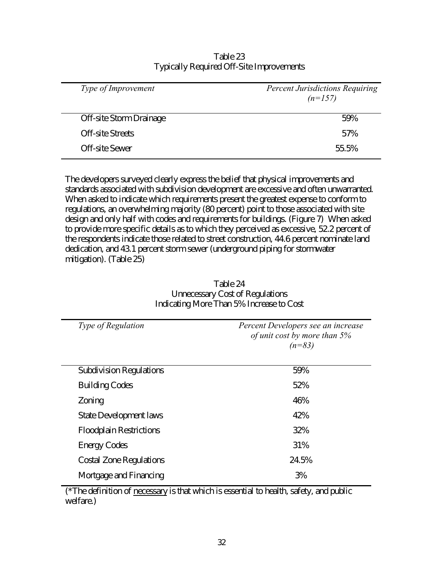| Type of Improvement            | <b>Percent Jurisdictions Requiring</b><br>$(n=157)$ |
|--------------------------------|-----------------------------------------------------|
| <b>Off-site Storm Drainage</b> | 59%                                                 |
| <b>Off-site Streets</b>        | 57%                                                 |
| Off-site Sewer                 | 55.5%                                               |
|                                |                                                     |

Table 23 Typically Required Off-Site Improvements

The developers surveyed clearly express the belief that physical improvements and standards associated with subdivision development are excessive and often unwarranted. When asked to indicate which requirements present the greatest expense to conform to regulations, an overwhelming majority (80 percent) point to those associated with site design and only half with codes and requirements for buildings. (Figure 7) When asked to provide more specific details as to which they perceived as excessive, 52.2 percent of the respondents indicate those related to street construction, 44.6 percent nominate land dedication, and 43.1 percent storm sewer (underground piping for stormwater mitigation). (Table 25)

| <i>Type of Regulation</i>      | Percent Developers see an increase<br>of unit cost by more than 5%<br>$(n=83)$ |
|--------------------------------|--------------------------------------------------------------------------------|
| <b>Subdivision Regulations</b> | 59%                                                                            |
| <b>Building Codes</b>          | 52%                                                                            |
| Zoning                         | 46%                                                                            |
| <b>State Development laws</b>  | 42%                                                                            |
| <b>Floodplain Restrictions</b> | 32%                                                                            |
| <b>Energy Codes</b>            | 31%                                                                            |
| <b>Costal Zone Regulations</b> | 24.5%                                                                          |
| Mortgage and Financing         | 3%                                                                             |

Table 24 Unnecessary Cost of Regulations Indicating More Than 5% Increase to Cost

(\*The definition of necessary is that which is essential to health, safety, and public welfare.)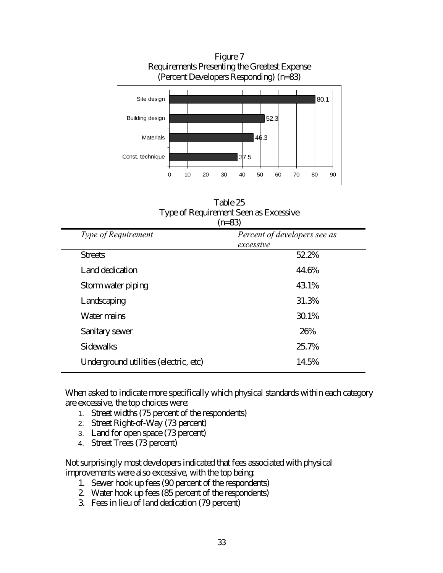

Table 25 Type of Requirement Seen as Excessive  $(n-83)$ 

|                                       | (11 U.J                                   |
|---------------------------------------|-------------------------------------------|
| <b>Type of Requirement</b>            | Percent of developers see as<br>excessive |
| <b>Streets</b>                        | 52.2%                                     |
| Land dedication                       | 44.6%                                     |
| Storm water piping                    | 43.1%                                     |
| Landscaping                           | 31.3%                                     |
| Water mains                           | 30.1%                                     |
| Sanitary sewer                        | 26%                                       |
| Sidewalks                             | 25.7%                                     |
| Underground utilities (electric, etc) | 14.5%                                     |
|                                       |                                           |

When asked to indicate more specifically which physical standards within each category are excessive, the top choices were:

- 1. Street widths (75 percent of the respondents)
- 2. Street Right-of-Way (73 percent)
- 3. Land for open space (73 percent)
- 4. Street Trees (73 percent)

Not surprisingly most developers indicated that fees associated with physical improvements were also excessive, with the top being:

- 1. Sewer hook up fees (90 percent of the respondents)
- 2. Water hook up fees (85 percent of the respondents)
- 3. Fees in lieu of land dedication (79 percent)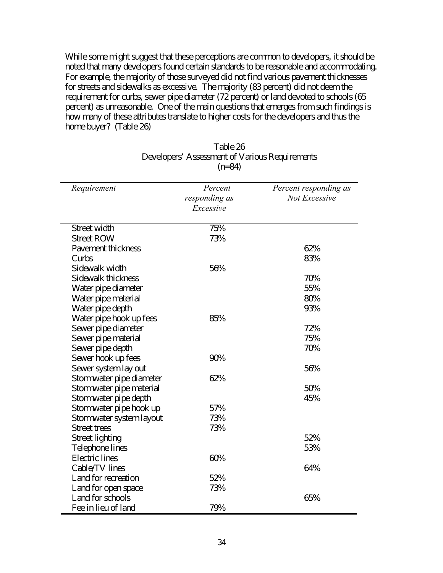While some might suggest that these perceptions are common to developers, it should be noted that many developers found certain standards to be reasonable and accommodating. For example, the majority of those surveyed did not find various pavement thicknesses for streets and sidewalks as excessive. The majority (83 percent) did not deem the requirement for curbs, sewer pipe diameter (72 percent) or land devoted to schools (65 percent) as unreasonable. One of the main questions that emerges from such findings is how many of these attributes translate to higher costs for the developers and thus the home buyer? (Table 26)

| Requirement              | Percent<br>responding as<br>Excessive | Percent responding as<br>Not Excessive |
|--------------------------|---------------------------------------|----------------------------------------|
| Street width             | 75%                                   |                                        |
| <b>Street ROW</b>        | 73%                                   |                                        |
| Pavement thickness       |                                       | 62%                                    |
| Curbs                    |                                       | 83%                                    |
| Sidewalk width           | 56%                                   |                                        |
| Sidewalk thickness       |                                       | 70%                                    |
| Water pipe diameter      |                                       | 55%                                    |
| Water pipe material      |                                       | 80%                                    |
| Water pipe depth         |                                       | 93%                                    |
| Water pipe hook up fees  | 85%                                   |                                        |
| Sewer pipe diameter      |                                       | 72%                                    |
| Sewer pipe material      |                                       | 75%                                    |
| Sewer pipe depth         |                                       | 70%                                    |
| Sewer hook up fees       | 90%                                   |                                        |
| Sewer system lay out     |                                       | 56%                                    |
| Stormwater pipe diameter | 62%                                   |                                        |
| Stormwater pipe material |                                       | 50%                                    |
| Stormwater pipe depth    |                                       | 45%                                    |
| Stormwater pipe hook up  | 57%                                   |                                        |
| Stormwater system layout | 73%                                   |                                        |
| Street trees             | 73%                                   |                                        |
| Street lighting          |                                       | 52%                                    |
| Telephone lines          |                                       | 53%                                    |
| <b>Electric</b> lines    | 60%                                   |                                        |
| Cable/TV lines           |                                       | 64%                                    |
| Land for recreation      | 52%                                   |                                        |
| Land for open space      | 73%                                   |                                        |
| Land for schools         |                                       | 65%                                    |
| Fee in lieu of land      | 79%                                   |                                        |

## Table 26 Developers' Assessment of Various Requirements  $(n=84)$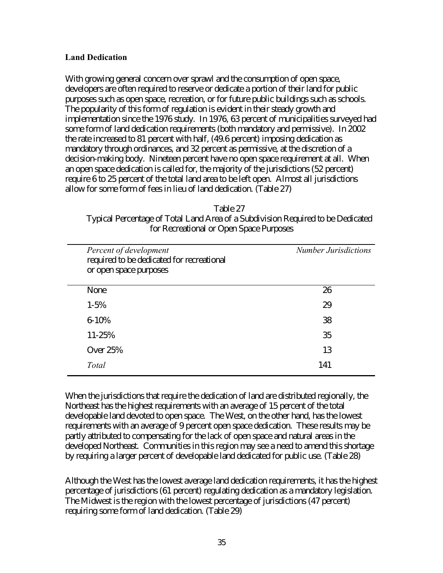### **Land Dedication**

With growing general concern over sprawl and the consumption of open space, developers are often required to reserve or dedicate a portion of their land for public purposes such as open space, recreation, or for future public buildings such as schools. The popularity of this form of regulation is evident in their steady growth and implementation since the 1976 study. In 1976, 63 percent of municipalities surveyed had some form of land dedication requirements (both mandatory and permissive). In 2002 the rate increased to 81 percent with half, (49.6 percent) imposing dedication as mandatory through ordinances, and 32 percent as permissive, at the discretion of a decision-making body. Nineteen percent have no open space requirement at all. When an open space dedication is called for, the majority of the jurisdictions (52 percent) require 6 to 25 percent of the total land area to be left open. Almost all jurisdictions allow for some form of fees in lieu of land dedication. (Table 27)

#### Table 27

Typical Percentage of Total Land Area of a Subdivision Required to be Dedicated for Recreational or Open Space Purposes

| Percent of development<br>required to be dedicated for recreational<br>or open space purposes | <b>Number Jurisdictions</b> |
|-----------------------------------------------------------------------------------------------|-----------------------------|
| None                                                                                          | 26                          |
| $1 - 5\%$                                                                                     | 29                          |
| $6 - 10%$                                                                                     | 38                          |
| 11-25%                                                                                        | 35                          |
| <b>Over 25%</b>                                                                               | 13                          |
| Total                                                                                         | 141                         |

When the jurisdictions that require the dedication of land are distributed regionally, the Northeast has the highest requirements with an average of 15 percent of the total developable land devoted to open space. The West, on the other hand, has the lowest requirements with an average of 9 percent open space dedication. These results may be partly attributed to compensating for the lack of open space and natural areas in the developed Northeast. Communities in this region may see a need to amend this shortage by requiring a larger percent of developable land dedicated for public use. (Table 28)

Although the West has the lowest average land dedication requirements, it has the highest percentage of jurisdictions (61 percent) regulating dedication as a mandatory legislation. The Midwest is the region with the lowest percentage of jurisdictions (47 percent) requiring some form of land dedication. (Table 29)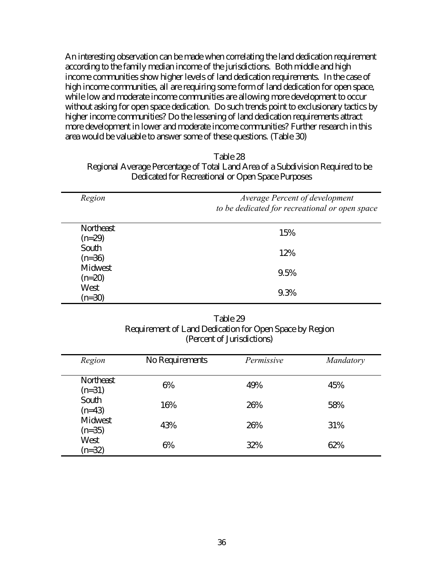An interesting observation can be made when correlating the land dedication requirement according to the family median income of the jurisdictions. Both middle and high income communities show higher levels of land dedication requirements. In the case of high income communities, all are requiring some form of land dedication for open space, while low and moderate income communities are allowing more development to occur without asking for open space dedication. Do such trends point to exclusionary tactics by higher income communities? Do the lessening of land dedication requirements attract more development in lower and moderate income communities? Further research in this area would be valuable to answer some of these questions. (Table 30)

| Table 28                                                                       |
|--------------------------------------------------------------------------------|
| Regional Average Percentage of Total Land Area of a Subdivision Required to be |
| Dedicated for Recreational or Open Space Purposes                              |

| Region                | Average Percent of development<br>to be dedicated for recreational or open space |  |
|-----------------------|----------------------------------------------------------------------------------|--|
| Northeast<br>$(n=29)$ | 15%                                                                              |  |
| South<br>$(n=36)$     | 12%                                                                              |  |
| Midwest<br>$(n=20)$   | 9.5%                                                                             |  |
| West<br>$(n=30)$      | 9.3%                                                                             |  |

| Table 29                                                |
|---------------------------------------------------------|
| Requirement of Land Dedication for Open Space by Region |
| (Percent of Jurisdictions)                              |

| Region                | No Requirements | Permissive | Mandatory |
|-----------------------|-----------------|------------|-----------|
| Northeast<br>$(n=31)$ | 6%              | 49%        | 45%       |
| South<br>$(n=43)$     | 16%             | 26%        | 58%       |
| Midwest<br>$(n=35)$   | 43%             | 26%        | 31%       |
| West<br>$(n=32)$      | 6%              | 32%        | 62%       |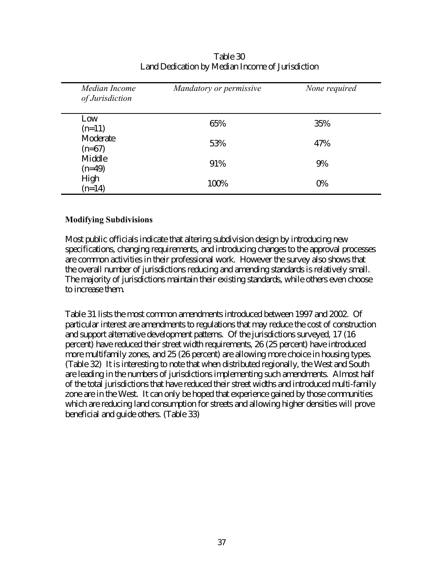| Median Income<br>of Jurisdiction | Mandatory or permissive | None required |
|----------------------------------|-------------------------|---------------|
| Low<br>$(n=11)$                  | 65%                     | 35%           |
| Moderate<br>$(n=67)$             | 53%                     | 47%           |
| Middle<br>$(n=49)$               | 91%                     | 9%            |
| High<br>$(n=14)$                 | 100%                    | 0%            |

Table 30 Land Dedication by Median Income of Jurisdiction

### **Modifying Subdivisions**

Most public officials indicate that altering subdivision design by introducing new specifications, changing requirements, and introducing changes to the approval processes are common activities in their professional work. However the survey also shows that the overall number of jurisdictions reducing and amending standards is relatively small. The majority of jurisdictions maintain their existing standards, while others even choose to increase them.

Table 31 lists the most common amendments introduced between 1997 and 2002. Of particular interest are amendments to regulations that may reduce the cost of construction and support alternative development patterns. Of the jurisdictions surveyed, 17 (16 percent) have reduced their street width requirements, 26 (25 percent) have introduced more multifamily zones, and 25 (26 percent) are allowing more choice in housing types. (Table 32) It is interesting to note that when distributed regionally, the West and South are leading in the numbers of jurisdictions implementing such amendments. Almost half of the total jurisdictions that have reduced their street widths and introduced multi-family zone are in the West. It can only be hoped that experience gained by those communities which are reducing land consumption for streets and allowing higher densities will prove beneficial and guide others. (Table 33)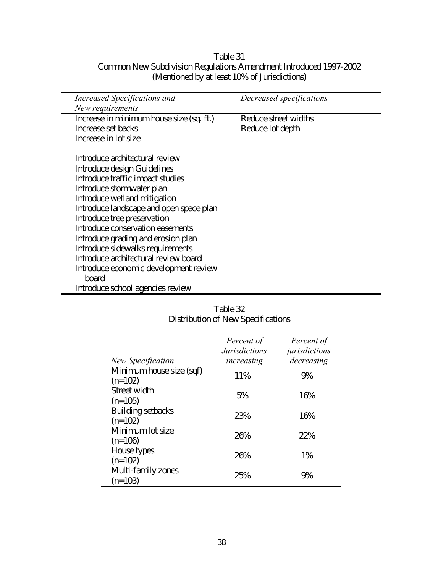### Table 31 Common New Subdivision Regulations Amendment Introduced 1997-2002 (Mentioned by at least 10% of Jurisdictions)

| Increased Specifications and             | Decreased specifications |  |
|------------------------------------------|--------------------------|--|
| New requirements                         |                          |  |
| Increase in minimum house size (sq. ft.) | Reduce street widths     |  |
| Increase set backs                       | Reduce lot depth         |  |
| Increase in lot size                     |                          |  |
| Introduce architectural review           |                          |  |
| Introduce design Guidelines              |                          |  |
| Introduce traffic impact studies         |                          |  |
| Introduce stormwater plan                |                          |  |
| Introduce wetland mitigation             |                          |  |
| Introduce landscape and open space plan  |                          |  |
| Introduce tree preservation              |                          |  |
| Introduce conservation easements         |                          |  |
| Introduce grading and erosion plan       |                          |  |
| Introduce sidewalks requirements         |                          |  |
| Introduce architectural review board     |                          |  |
| Introduce economic development review    |                          |  |
| board                                    |                          |  |
| Introduce school agencies review         |                          |  |

| New Specification                     | Percent of<br><i>Jurisdictions</i><br>increasing | Percent of<br>jurisdictions<br>decreasing |
|---------------------------------------|--------------------------------------------------|-------------------------------------------|
| Minimum house size (sqf)<br>$(n=102)$ | 11%                                              | 9%                                        |
| Street width<br>$(n=105)$             | 5%                                               | 16%                                       |
| Building setbacks<br>$(n=102)$        | 23%                                              | 16%                                       |
| Minimum lot size<br>$(n=106)$         | 26%                                              | 22%                                       |
| House types<br>$(n=102)$              | 26%                                              | $1\%$                                     |
| Multi-family zones<br>$(n=103)$       | 25%                                              | 9%                                        |

Table 32 Distribution of New Specifications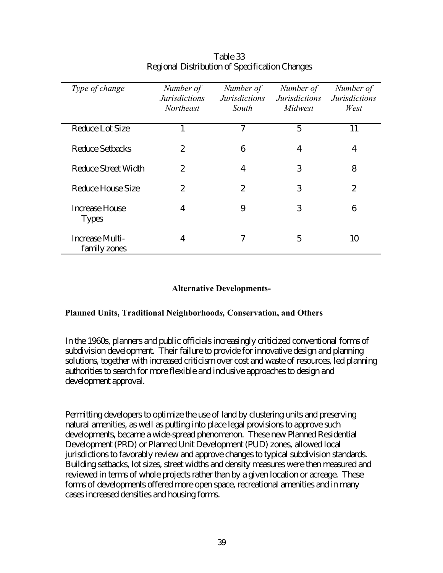| Type of change                  | Number of<br><b>Jurisdictions</b><br><b>Northeast</b> | Number of<br><i>Jurisdictions</i><br>South | Number of<br><i>Jurisdictions</i><br>Midwest | Number of<br><b>Jurisdictions</b><br>West |
|---------------------------------|-------------------------------------------------------|--------------------------------------------|----------------------------------------------|-------------------------------------------|
| Reduce Lot Size                 |                                                       | $\overline{7}$                             | 5                                            | 11                                        |
| <b>Reduce Setbacks</b>          | 2                                                     | 6                                          | 4                                            | $\overline{4}$                            |
| Reduce Street Width             | 2                                                     | $\overline{4}$                             | 3                                            | 8                                         |
| Reduce House Size               | 2                                                     | 2                                          | 3                                            | $\overline{2}$                            |
| Increase House<br><b>Types</b>  | 4                                                     | 9                                          | 3                                            | 6                                         |
| Increase Multi-<br>family zones | 4                                                     | 7                                          | 5                                            | 10                                        |

## Table 33 Regional Distribution of Specification Changes

### **Alternative Developments-**

### **Planned Units, Traditional Neighborhood***s,* **Conservation, and Others**

In the 1960s, planners and public officials increasingly criticized conventional forms of subdivision development. Their failure to provide for innovative design and planning solutions, together with increased criticism over cost and waste of resources, led planning authorities to search for more flexible and inclusive approaches to design and development approval.

Permitting developers to optimize the use of land by clustering units and preserving natural amenities, as well as putting into place legal provisions to approve such developments, became a wide-spread phenomenon. These new Planned Residential Development (PRD) or Planned Unit Development (PUD) zones, allowed local jurisdictions to favorably review and approve changes to typical subdivision standards. Building setbacks, lot sizes, street widths and density measures were then measured and reviewed in terms of whole projects rather than by a given location or acreage. These forms of developments offered more open space, recreational amenities and in many cases increased densities and housing forms.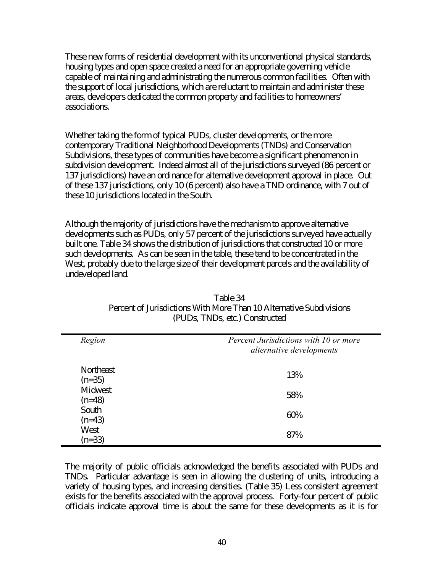These new forms of residential development with its unconventional physical standards, housing types and open space created a need for an appropriate governing vehicle capable of maintaining and administrating the numerous common facilities. Often with the support of local jurisdictions, which are reluctant to maintain and administer these areas, developers dedicated the common property and facilities to homeowners' associations.

Whether taking the form of typical PUDs, cluster developments, or the more contemporary Traditional Neighborhood Developments (TNDs) and Conservation Subdivisions, these types of communities have become a significant phenomenon in subdivision development. Indeed almost all of the jurisdictions surveyed (86 percent or 137 jurisdictions) have an ordinance for alternative development approval in place. Out of these 137 jurisdictions, only 10 (6 percent) also have a TND ordinance, with 7 out of these 10 jurisdictions located in the South.

Although the majority of jurisdictions have the mechanism to approve alternative developments such as PUDs, only 57 percent of the jurisdictions surveyed have actually built one. Table 34 shows the distribution of jurisdictions that constructed 10 or more such developments. As can be seen in the table, these tend to be concentrated in the West, probably due to the large size of their development parcels and the availability of undeveloped land.

| Region                | Percent Jurisdictions with 10 or more<br>alternative developments |
|-----------------------|-------------------------------------------------------------------|
| Northeast<br>$(n=35)$ | 13%                                                               |
| Midwest<br>$(n=48)$   | 58%                                                               |
| South<br>$(n=43)$     | 60%                                                               |
| West<br>$(n=33)$      | 87%                                                               |

| Table 34                                                            |
|---------------------------------------------------------------------|
| Percent of Jurisdictions With More Than 10 Alternative Subdivisions |
| (PUDs, TNDs, etc.) Constructed                                      |

The majority of public officials acknowledged the benefits associated with PUDs and TNDs. Particular advantage is seen in allowing the clustering of units, introducing a variety of housing types, and increasing densities. (Table 35) Less consistent agreement exists for the benefits associated with the approval process. Forty-four percent of public officials indicate approval time is about the same for these developments as it is for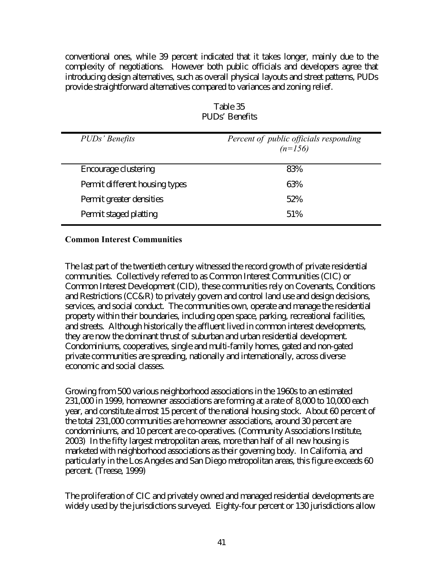conventional ones, while 39 percent indicated that it takes longer, mainly due to the complexity of negotiations. However both public officials and developers agree that introducing design alternatives, such as overall physical layouts and street patterns, PUDs provide straightforward alternatives compared to variances and zoning relief.

| PUDs' Benefits                 | Percent of public officials responding<br>$(n=156)$ |
|--------------------------------|-----------------------------------------------------|
| Encourage clustering           | 83%                                                 |
| Permit different housing types | 63%                                                 |
| Permit greater densities       | 52%                                                 |
| Permit staged platting         | 51%                                                 |

## Table 35 PUDs' Benefits

### **Common Interest Communities**

The last part of the twentieth century witnessed the record growth of private residential communities. Collectively referred to as Common Interest Communities (CIC) or Common Interest Development (CID), these communities rely on Covenants, Conditions and Restrictions (CC&R) to privately govern and control land use and design decisions, services, and social conduct. The communities own, operate and manage the residential property within their boundaries, including open space, parking, recreational facilities, and streets. Although historically the affluent lived in common interest developments, they are now the dominant thrust of suburban and urban residential development. Condominiums, cooperatives, single and multi-family homes, gated and non-gated private communities are spreading, nationally and internationally, across diverse economic and social classes.

Growing from 500 various neighborhood associations in the 1960s to an estimated 231,000 in 1999, homeowner associations are forming at a rate of 8,000 to 10,000 each year, and constitute almost 15 percent of the national housing stock. About 60 percent of the total 231,000 communities are homeowner associations, around 30 percent are condominiums, and 10 percent are co-operatives. (Community Associations Institute, 2003) In the fifty largest metropolitan areas, more than half of all new housing is marketed with neighborhood associations as their governing body. In California, and particularly in the Los Angeles and San Diego metropolitan areas, this figure exceeds 60 percent. (Treese, 1999)

The proliferation of CIC and privately owned and managed residential developments are widely used by the jurisdictions surveyed. Eighty-four percent or 130 jurisdictions allow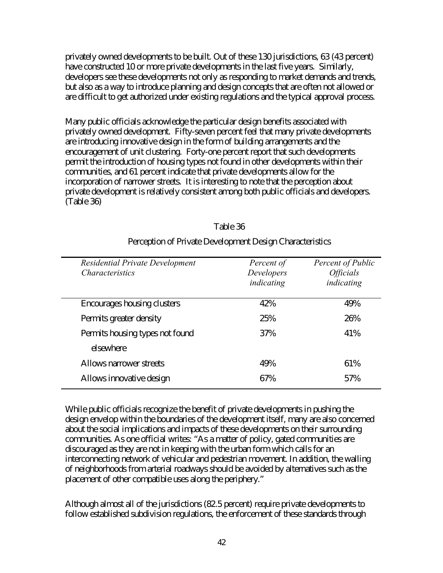privately owned developments to be built. Out of these 130 jurisdictions, 63 (43 percent) have constructed 10 or more private developments in the last five years. Similarly, developers see these developments not only as responding to market demands and trends, but also as a way to introduce planning and design concepts that are often not allowed or are difficult to get authorized under existing regulations and the typical approval process.

Many public officials acknowledge the particular design benefits associated with privately owned development. Fifty-seven percent feel that many private developments are introducing innovative design in the form of building arrangements and the encouragement of unit clustering. Forty-one percent report that such developments permit the introduction of housing types not found in other developments within their communities, and 61 percent indicate that private developments allow for the incorporation of narrower streets. It is interesting to note that the perception about private development is relatively consistent among both public officials and developers. (Table 36)

| Table 36 |  |
|----------|--|
|----------|--|

| Residential Private Development<br><i>Characteristics</i> | Percent of<br>Developers<br>indicating | Percent of Public<br><i><b>Officials</b></i><br>indicating |
|-----------------------------------------------------------|----------------------------------------|------------------------------------------------------------|
| Encourages housing clusters                               | 42%                                    | 49%                                                        |
| Permits greater density                                   | 25%                                    | 26%                                                        |
| Permits housing types not found                           | 37%                                    | 41%                                                        |
| elsewhere                                                 |                                        |                                                            |
| Allows narrower streets                                   | 49%                                    | 61%                                                        |
| Allows innovative design                                  | 67%                                    | 57%                                                        |

### Perception of Private Development Design Characteristics

While public officials recognize the benefit of private developments in pushing the design envelop within the boundaries of the development itself, many are also concerned about the social implications and impacts of these developments on their surrounding communities. As one official writes: "As a matter of policy, gated communities are discouraged as they are not in keeping with the urban form which calls for an interconnecting network of vehicular and pedestrian movement. In addition, the walling of neighborhoods from arterial roadways should be avoided by alternatives such as the placement of other compatible uses along the periphery."

Although almost all of the jurisdictions (82.5 percent) require private developments to follow established subdivision regulations, the enforcement of these standards through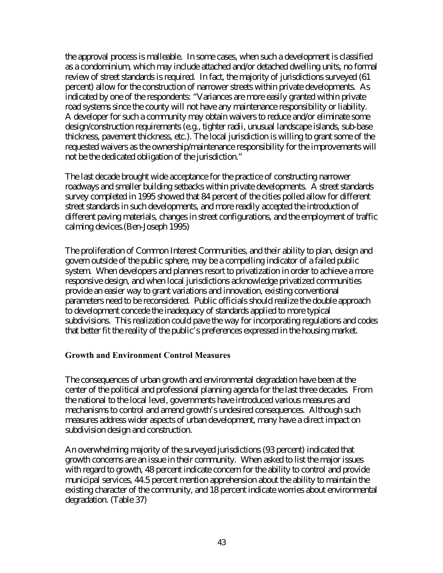the approval process is malleable. In some cases, when such a development is classified as a condominium, which may include attached and/or detached dwelling units, no formal review of street standards is required. In fact, the majority of jurisdictions surveyed (61 percent) allow for the construction of narrower streets within private developments. As indicated by one of the respondents: "Variances are more easily granted within private road systems since the county will not have any maintenance responsibility or liability. A developer for such a community may obtain waivers to reduce and/or eliminate some design/construction requirements (e.g., tighter radii, unusual landscape islands, sub-base thickness, pavement thickness, etc.). The local jurisdiction is willing to grant some of the requested waivers as the ownership/maintenance responsibility for the improvements will not be the dedicated obligation of the jurisdiction."

The last decade brought wide acceptance for the practice of constructing narrower roadways and smaller building setbacks within private developments. A street standards survey completed in 1995 showed that 84 percent of the cities polled allow for different street standards in such developments, and more readily accepted the introduction of different paving materials, changes in street configurations, and the employment of traffic calming devices.(Ben-Joseph 1995)

The proliferation of Common Interest Communities, and their ability to plan, design and govern outside of the public sphere, may be a compelling indicator of a failed public system. When developers and planners resort to privatization in order to achieve a more responsive design, and when local jurisdictions acknowledge privatized communities provide an easier way to grant variations and innovation, existing conventional parameters need to be reconsidered. Public officials should realize the double approach to development concede the inadequacy of standards applied to more typical subdivisions. This realization could pave the way for incorporating regulations and codes that better fit the reality of the public's preferences expressed in the housing market.

### **Growth and Environment Control Measures**

The consequences of urban growth and environmental degradation have been at the center of the political and professional planning agenda for the last three decades. From the national to the local level, governments have introduced various measures and mechanisms to control and amend growth's undesired consequences. Although such measures address wider aspects of urban development, many have a direct impact on subdivision design and construction.

An overwhelming majority of the surveyed jurisdictions (93 percent) indicated that growth concerns are an issue in their community. When asked to list the major issues with regard to growth, 48 percent indicate concern for the ability to control and provide municipal services, 44.5 percent mention apprehension about the ability to maintain the existing character of the community, and 18 percent indicate worries about environmental degradation. (Table 37)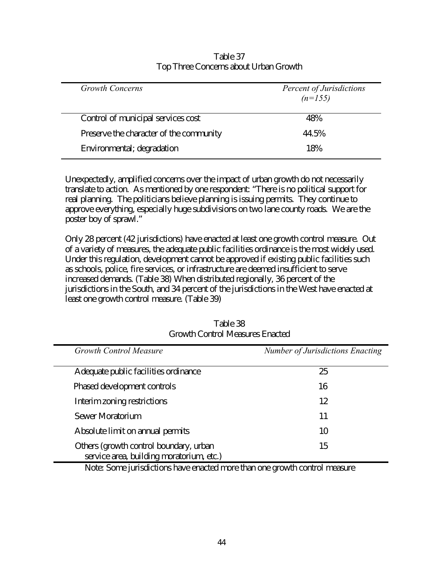| <b>Growth Concerns</b>                  | <b>Percent of Jurisdictions</b><br>$(n=155)$ |
|-----------------------------------------|----------------------------------------------|
| Control of municipal services cost      | 48%                                          |
| Preserve the character of the community | 44.5%                                        |
| Environmental; degradation              | 18%                                          |

### Table 37 Top Three Concerns about Urban Growth

Unexpectedly, amplified concerns over the impact of urban growth do not necessarily translate to action. As mentioned by one respondent: "There is no political support for real planning. The politicians believe planning is issuing permits. They continue to approve everything, especially huge subdivisions on two lane county roads. We are the poster boy of sprawl."

Only 28 percent (42 jurisdictions) have enacted at least one growth control measure. Out of a variety of measures, the adequate public facilities ordinance is the most widely used. Under this regulation, development cannot be approved if existing public facilities such as schools, police, fire services, or infrastructure are deemed insufficient to serve increased demands. (Table 38) When distributed regionally, 36 percent of the jurisdictions in the South, and 34 percent of the jurisdictions in the West have enacted at least one growth control measure. (Table 39)

| <b>Growth Control Measure</b>                                                      | Number of Jurisdictions Enacting |
|------------------------------------------------------------------------------------|----------------------------------|
| Adequate public facilities ordinance                                               | 25                               |
| Phased development controls                                                        | 16                               |
| Interim zoning restrictions                                                        | 12                               |
| Sewer Moratorium                                                                   | 11                               |
| Absolute limit on annual permits                                                   | 10                               |
| Others (growth control boundary, urban<br>service area, building moratorium, etc.) | 15                               |

Table 38 Growth Control Measures Enacted

Note: Some jurisdictions have enacted more than one growth control measure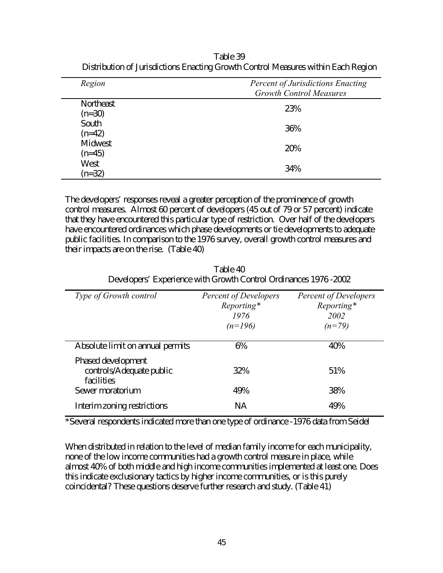| Region                | <b>Percent of Jurisdictions Enacting</b><br><b>Growth Control Measures</b> |
|-----------------------|----------------------------------------------------------------------------|
| Northeast<br>$(n=30)$ | 23%                                                                        |
| South<br>$(n=42)$     | 36%                                                                        |
| Midwest<br>$(n=45)$   | 20%                                                                        |
| West<br>$(n=32)$      | 34%                                                                        |

Table 39 Distribution of Jurisdictions Enacting Growth Control Measures within Each Region

The developers' responses reveal a greater perception of the prominence of growth control measures. Almost 60 percent of developers (45 out of 79 or 57 percent) indicate that they have encountered this particular type of restriction. Over half of the developers have encountered ordinances which phase developments or tie developments to adequate public facilities. In comparison to the 1976 survey, overall growth control measures and their impacts are on the rise. (Table 40)

Table 40 Developers' Experience with Growth Control Ordinances 1976 -2002

| <i>Type of Growth control</i>                                | <b>Percent of Developers</b><br>Reporting*<br>1976<br>$(n=196)$ | <b>Percent of Developers</b><br>Reporting*<br>2002<br>$(n=79)$ |
|--------------------------------------------------------------|-----------------------------------------------------------------|----------------------------------------------------------------|
| Absolute limit on annual permits                             | 6%                                                              | 40%                                                            |
| Phased development<br>controls/Adequate public<br>facilities | 32%                                                             | 51%                                                            |
| Sewer moratorium                                             | 49%                                                             | 38%                                                            |
| Interim zoning restrictions                                  | <b>NA</b>                                                       | 49%                                                            |

\*Several respondents indicated more than one type of ordinance -1976 data from Seidel

When distributed in relation to the level of median family income for each municipality, none of the low income communities had a growth control measure in place, while almost 40% of both middle and high income communities implemented at least one. Does this indicate exclusionary tactics by higher income communities, or is this purely coincidental? These questions deserve further research and study. (Table 41)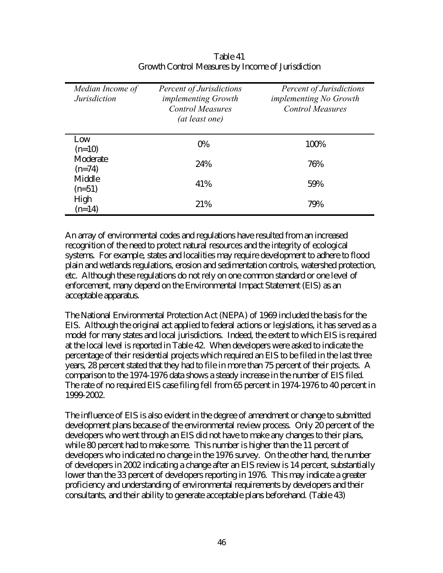| Median Income of<br><b>Jurisdiction</b> | <b>Percent of Jurisdictions</b><br><i>implementing Growth</i><br><b>Control Measures</b><br>(at least one) | <b>Percent of Jurisdictions</b><br><i>implementing No Growth</i><br><b>Control Measures</b> |
|-----------------------------------------|------------------------------------------------------------------------------------------------------------|---------------------------------------------------------------------------------------------|
| Low<br>$(n=10)$                         | 0%                                                                                                         | 100%                                                                                        |
| Moderate<br>$(n=74)$                    | 24%                                                                                                        | 76%                                                                                         |
| Middle<br>$(n=51)$                      | 41%                                                                                                        | 59%                                                                                         |
| High<br>$(n=14)$                        | 21%                                                                                                        | 79%                                                                                         |

Table 41 Growth Control Measures by Income of Jurisdiction

An array of environmental codes and regulations have resulted from an increased recognition of the need to protect natural resources and the integrity of ecological systems. For example, states and localities may require development to adhere to flood plain and wetlands regulations, erosion and sedimentation controls, watershed protection, etc. Although these regulations do not rely on one common standard or one level of enforcement, many depend on the Environmental Impact Statement (EIS) as an acceptable apparatus.

The National Environmental Protection Act (NEPA) of 1969 included the basis for the EIS. Although the original act applied to federal actions or legislations, it has served as a model for many states and local jurisdictions. Indeed, the extent to which EIS is required at the local level is reported in Table 42. When developers were asked to indicate the percentage of their residential projects which required an EIS to be filed in the last three years, 28 percent stated that they had to file in more than 75 percent of their projects. A comparison to the 1974-1976 data shows a steady increase in the number of EIS filed. The rate of no required EIS case filing fell from 65 percent in 1974-1976 to 40 percent in 1999-2002.

The influence of EIS is also evident in the degree of amendment or change to submitted development plans because of the environmental review process. Only 20 percent of the developers who went through an EIS did not have to make any changes to their plans, while 80 percent had to make some. This number is higher than the 11 percent of developers who indicated no change in the 1976 survey. On the other hand, the number of developers in 2002 indicating a change after an EIS review is 14 percent, substantially lower than the 33 percent of developers reporting in 1976. This may indicate a greater proficiency and understanding of environmental requirements by developers and their consultants, and their ability to generate acceptable plans beforehand. (Table 43)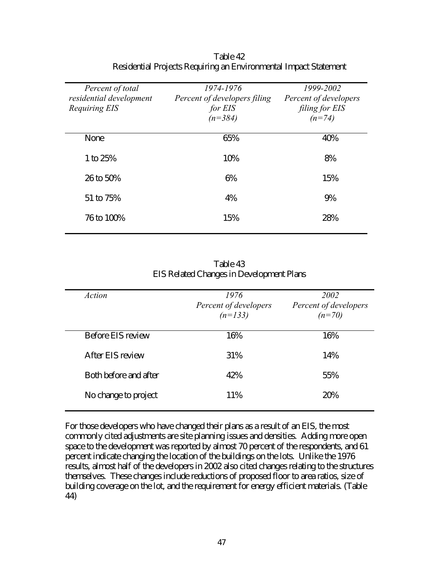| Percent of total<br>residential development<br>Requiring EIS | 1974-1976<br>Percent of developers filing<br>for EIS<br>$(n=384)$ | 1999-2002<br>Percent of developers<br>filing for EIS<br>$(n=74)$ |
|--------------------------------------------------------------|-------------------------------------------------------------------|------------------------------------------------------------------|
| None                                                         | 65%                                                               | 40%                                                              |
| 1 to 25%                                                     | 10%                                                               | 8%                                                               |
| 26 to 50%                                                    | 6%                                                                | 15%                                                              |
| 51 to 75%                                                    | 4%                                                                | 9%                                                               |
| 76 to 100\%                                                  | 15%                                                               | 28%                                                              |

Table 42 Residential Projects Requiring an Environmental Impact Statement

| Table 43                                        |
|-------------------------------------------------|
| <b>EIS Related Changes in Development Plans</b> |

| Action                | 1976<br>Percent of developers<br>$(n=133)$ | 2002<br>Percent of developers<br>$(n=70)$ |
|-----------------------|--------------------------------------------|-------------------------------------------|
| Before EIS review     | 16%                                        | 16%                                       |
| After EIS review      | 31%                                        | 14%                                       |
| Both before and after | 42%                                        | 55%                                       |
| No change to project  | 11%                                        | 20%                                       |

For those developers who have changed their plans as a result of an EIS, the most commonly cited adjustments are site planning issues and densities. Adding more open space to the development was reported by almost 70 percent of the respondents, and 61 percent indicate changing the location of the buildings on the lots. Unlike the 1976 results, almost half of the developers in 2002 also cited changes relating to the structures themselves. These changes include reductions of proposed floor to area ratios, size of building coverage on the lot, and the requirement for energy efficient materials. (Table 44)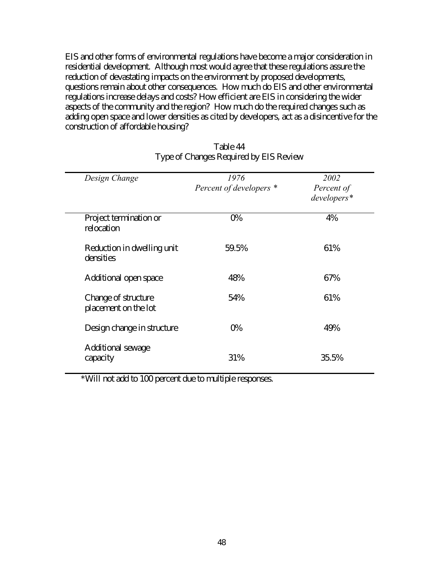EIS and other forms of environmental regulations have become a major consideration in residential development. Although most would agree that these regulations assure the reduction of devastating impacts on the environment by proposed developments, questions remain about other consequences. How much do EIS and other environmental regulations increase delays and costs? How efficient are EIS in considering the wider aspects of the community and the region? How much do the required changes such as adding open space and lower densities as cited by developers, act as a disincentive for the construction of affordable housing?

| Design Change                               | 1976<br>Percent of developers * | 2002<br>Percent of<br>developers* |
|---------------------------------------------|---------------------------------|-----------------------------------|
| Project termination or<br>relocation        | 0%                              | 4%                                |
| Reduction in dwelling unit<br>densities     | 59.5%                           | 61%                               |
| Additional open space                       | 48%                             | 67%                               |
| Change of structure<br>placement on the lot | 54%                             | 61%                               |
| Design change in structure                  | 0%                              | 49%                               |
| Additional sewage<br>capacity               | 31%                             | 35.5%                             |

## Table 44 Type of Changes Required by EIS Review

\*Will not add to 100 percent due to multiple responses.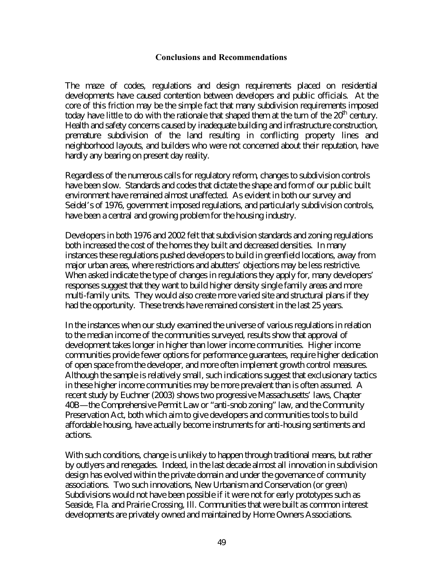#### **Conclusions and Recommendations**

The maze of codes, regulations and design requirements placed on residential developments have caused contention between developers and public officials. At the core of this friction may be the simple fact that many subdivision requirements imposed today have little to do with the rationale that shaped them at the turn of the  $20<sup>th</sup>$  century. Health and safety concerns caused by inadequate building and infrastructure construction, premature subdivision of the land resulting in conflicting property lines and neighborhood layouts, and builders who were not concerned about their reputation, have hardly any bearing on present day reality.

Regardless of the numerous calls for regulatory reform, changes to subdivision controls have been slow. Standards and codes that dictate the shape and form of our public built environment have remained almost unaffected. As evident in both our survey and Seidel's of 1976, government imposed regulations, and particularly subdivision controls, have been a central and growing problem for the housing industry.

Developers in both 1976 and 2002 felt that subdivision standards and zoning regulations both increased the cost of the homes they built and decreased densities. In many instances these regulations pushed developers to build in greenfield locations, away from major urban areas, where restrictions and abutters' objections may be less restrictive. When asked indicate the type of changes in regulations they apply for, many developers' responses suggest that they want to build higher density single family areas and more multi-family units. They would also create more varied site and structural plans if they had the opportunity. These trends have remained consistent in the last 25 years.

In the instances when our study examined the universe of various regulations in relation to the median income of the communities surveyed, results show that approval of development takes longer in higher than lower income communities. Higher income communities provide fewer options for performance guarantees, require higher dedication of open space from the developer, and more often implement growth control measures. Although the sample is relatively small, such indications suggest that exclusionary tactics in these higher income communities may be more prevalent than is often assumed. A recent study by Euchner (2003) shows two progressive Massachusetts' laws, Chapter 40B—the Comprehensive Permit Law or "anti-snob zoning" law, and the Community Preservation Act, both which aim to give developers and communities tools to build affordable housing, have actually become instruments for anti-housing sentiments and actions.

With such conditions, change is unlikely to happen through traditional means, but rather by outlyers and renegades. Indeed, in the last decade almost all innovation in subdivision design has evolved within the private domain and under the governance of community associations. Two such innovations, New Urbanism and Conservation (or green) Subdivisions would not have been possible if it were not for early prototypes such as Seaside, Fla. and Prairie Crossing, Ill. Communities that were built as common interest developments are privately owned and maintained by Home Owners Associations.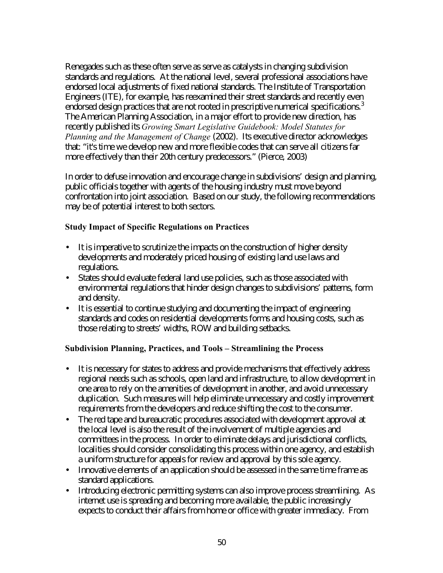Renegades such as these often serve as serve as catalysts in changing subdivision standards and regulations. At the national level, several professional associations have endorsed local adjustments of fixed national standards. The Institute of Transportation Engineers (ITE), for example, has reexamined their street standards and recently even endorsed design practices that are not rooted in prescriptive numerical specifications.<sup>3</sup> The American Planning Association, in a major effort to provide new direction, has recently published its *Growing Smart Legislative Guidebook: Model Statutes for Planning and the Management of Change* (2002). Its executive director acknowledges that: "it's time we develop new and more flexible codes that can serve all citizens far more effectively than their 20th century predecessors." (Pierce, 2003)

In order to defuse innovation and encourage change in subdivisions' design and planning, public officials together with agents of the housing industry must move beyond confrontation into joint association. Based on our study, the following recommendations may be of potential interest to both sectors.

### **Study Impact of Specific Regulations on Practices**

- It is imperative to scrutinize the impacts on the construction of higher density developments and moderately priced housing of existing land use laws and regulations.
- States should evaluate federal land use policies, such as those associated with environmental regulations that hinder design changes to subdivisions' patterns, form and density.
- It is essential to continue studying and documenting the impact of engineering standards and codes on residential developments forms and housing costs, such as those relating to streets' widths, ROW and building setbacks.

### **Subdivision Planning, Practices, and Tools – Streamlining the Process**

- It is necessary for states to address and provide mechanisms that effectively address regional needs such as schools, open land and infrastructure, to allow development in one area to rely on the amenities of development in another, and avoid unnecessary duplication. Such measures will help eliminate unnecessary and costly improvement requirements from the developers and reduce shifting the cost to the consumer.
- The red tape and bureaucratic procedures associated with development approval at the local level is also the result of the involvement of multiple agencies and committees in the process. In order to eliminate delays and jurisdictional conflicts, localities should consider consolidating this process within one agency, and establish a uniform structure for appeals for review and approval by this sole agency.
- Innovative elements of an application should be assessed in the same time frame as standard applications.
- Introducing electronic permitting systems can also improve process streamlining. As internet use is spreading and becoming more available, the public increasingly expects to conduct their affairs from home or office with greater immediacy. From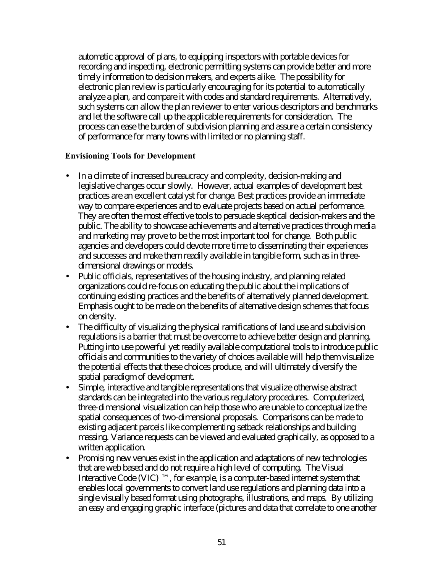automatic approval of plans, to equipping inspectors with portable devices for recording and inspecting, electronic permitting systems can provide better and more timely information to decision makers, and experts alike. The possibility for electronic plan review is particularly encouraging for its potential to automatically analyze a plan, and compare it with codes and standard requirements. Alternatively, such systems can allow the plan reviewer to enter various descriptors and benchmarks and let the software call up the applicable requirements for consideration. The process can ease the burden of subdivision planning and assure a certain consistency of performance for many towns with limited or no planning staff.

### **Envisioning Tools for Development**

- In a climate of increased bureaucracy and complexity, decision-making and legislative changes occur slowly. However, actual examples of development best practices are an excellent catalyst for change. Best practices provide an immediate way to compare experiences and to evaluate projects based on actual performance. They are often the most effective tools to persuade skeptical decision-makers and the public. The ability to showcase achievements and alternative practices through media and marketing may prove to be the most important tool for change. Both public agencies and developers could devote more time to disseminating their experiences and successes and make them readily available in tangible form, such as in threedimensional drawings or models.
- Public officials, representatives of the housing industry, and planning related organizations could re-focus on educating the public about the implications of continuing existing practices and the benefits of alternatively planned development. Emphasis ought to be made on the benefits of alternative design schemes that focus on density.
- The difficulty of visualizing the physical ramifications of land use and subdivision regulations is a barrier that must be overcome to achieve better design and planning. Putting into use powerful yet readily available computational tools to introduce public officials and communities to the variety of choices available will help them visualize the potential effects that these choices produce, and will ultimately diversify the spatial paradigm of development.
- Simple, interactive and tangible representations that visualize otherwise abstract standards can be integrated into the various regulatory procedures. Computerized, three-dimensional visualization can help those who are unable to conceptualize the spatial consequences of two-dimensional proposals. Comparisons can be made to existing adjacent parcels like complementing setback relationships and building massing. Variance requests can be viewed and evaluated graphically, as opposed to a written application.
- Promising new venues exist in the application and adaptations of new technologies that are web based and do not require a high level of computing. The Visual Interactive Code (VIC)  $TM$ , for example, is a computer-based internet system that enables local governments to convert land use regulations and planning data into a single visually based format using photographs, illustrations, and maps. By utilizing an easy and engaging graphic interface (pictures and data that correlate to one another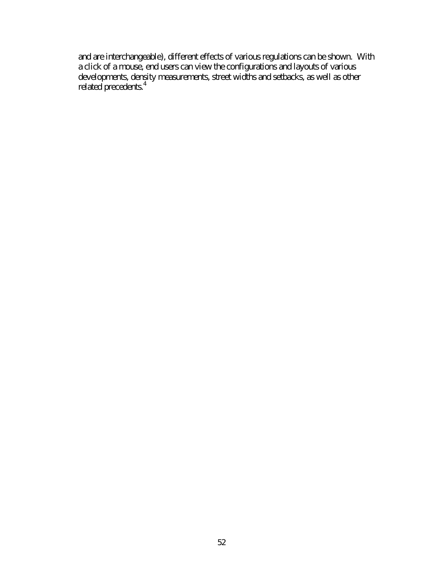and are interchangeable), different effects of various regulations can be shown. With a click of a mouse, end users can view the configurations and layouts of various developments, density measurements, street widths and setbacks, as well as other related precedents.<sup>4</sup>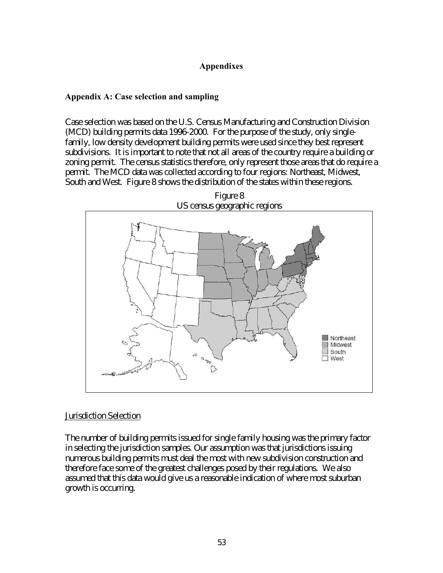### **Appendixes**

#### **Appendix A: Case selection and sampling**

Case selection was based on the U.S. Census Manufacturing and Construction Division (MCD) building permits data 1996-2000. For the purpose of the study, only singlefamily, low density development building permits were used since they best represent subdivisions. It is important to note that not all areas of the country require a building or zoning permit. The census statistics therefore, only represent those areas that do require a permit. The MCD data was collected according to four regions: Northeast, Midwest, South and West. Figure 8 shows the distribution of the states within these regions.



Figure 8

### Jurisdiction Selection

The number of building permits issued for single family housing was the primary factor in selecting the jurisdiction samples. Our assumption was that jurisdictions issuing numerous building permits must deal the most with new subdivision construction and therefore face some of the greatest challenges posed by their regulations. We also assumed that this data would give us a reasonable indication of where most suburban growth is occurring.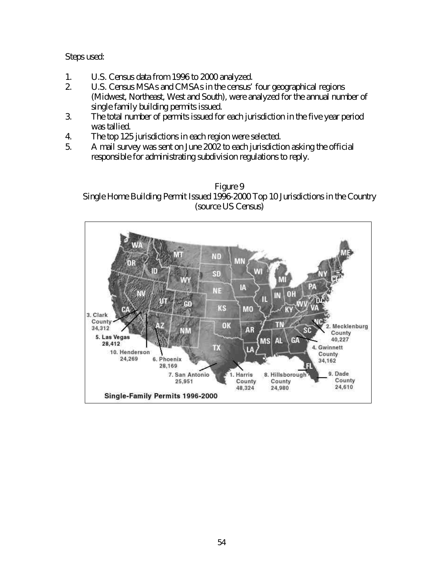Steps used:

- 1. U.S. Census data from 1996 to 2000 analyzed.
- 2. U.S. Census MSAs and CMSAs in the census' four geographical regions (Midwest, Northeast, West and South), were analyzed for the annual number of single family building permits issued.
- 3. The total number of permits issued for each jurisdiction in the five year period was tallied.
- 4. The top 125 jurisdictions in each region were selected.
- 5. A mail survey was sent on June 2002 to each jurisdiction asking the official responsible for administrating subdivision regulations to reply.



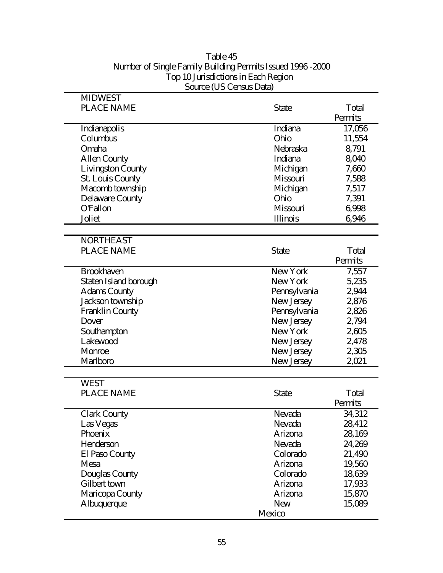|                          | $00$ urec $\sqrt{00}$ Census Data $\eta$ |         |
|--------------------------|------------------------------------------|---------|
| <b>MIDWEST</b>           |                                          |         |
| <b>PLACE NAME</b>        | <b>State</b>                             | Total   |
|                          |                                          | Permits |
| Indianapolis             | Indiana                                  | 17,056  |
| Columbus                 | Ohio                                     | 11,554  |
| Omaha                    | Nebraska                                 | 8,791   |
| <b>Allen County</b>      | Indiana                                  | 8,040   |
| <b>Livingston County</b> | Michigan                                 | 7,660   |
| <b>St. Louis County</b>  | Missouri                                 | 7,588   |
| Macomb township          | Michigan                                 | 7,517   |
| <b>Delaware County</b>   | Ohio                                     | 7,391   |
| <b>O'Fallon</b>          | Missouri                                 | 6,998   |
| Joliet                   | Illinois                                 | 6,946   |
|                          |                                          |         |
| <b>NORTHEAST</b>         |                                          |         |
| <b>PLACE NAME</b>        | <b>State</b>                             | Total   |
|                          |                                          | Permits |
| <b>Brookhaven</b>        | New York                                 | 7,557   |
| Staten Island borough    | New York                                 | 5,235   |
| <b>Adams County</b>      | Pennsylvania                             | 2,944   |
| Jackson township         | New Jersey                               | 2,876   |
| <b>Franklin County</b>   | Pennsylvania                             | 2,826   |
| Dover                    | New Jersey                               | 2,794   |
| Southampton              | New York                                 | 2,605   |
| Lakewood                 | New Jersey                               | 2,478   |
| Monroe                   | New Jersey                               | 2,305   |
| Marlboro                 | New Jersey                               | 2,021   |
|                          |                                          |         |
| <b>WEST</b>              |                                          |         |
| <b>PLACE NAME</b>        | <b>State</b>                             | Total   |
|                          |                                          | Permits |
| <b>Clark County</b>      | Nevada                                   | 34,312  |
| Las Vegas                | Nevada                                   | 28,412  |
| Phoenix                  | Arizona                                  | 28,169  |
| Henderson                | Nevada                                   | 24,269  |
| El Paso County           | Colorado                                 | 21,490  |
| Mesa                     | Arizona                                  | 19,560  |
| Douglas County           | Colorado                                 | 18,639  |
| Gilbert town             | Arizona                                  | 17,933  |
| Maricopa County          | Arizona                                  | 15,870  |
| Albuquerque              | <b>New</b>                               | 15,089  |
|                          | Mexico                                   |         |
|                          |                                          |         |

## Table 45 Number of Single Family Building Permits Issued 1996 -2000 Top 10 Jurisdictions in Each Region Source (US Census Data)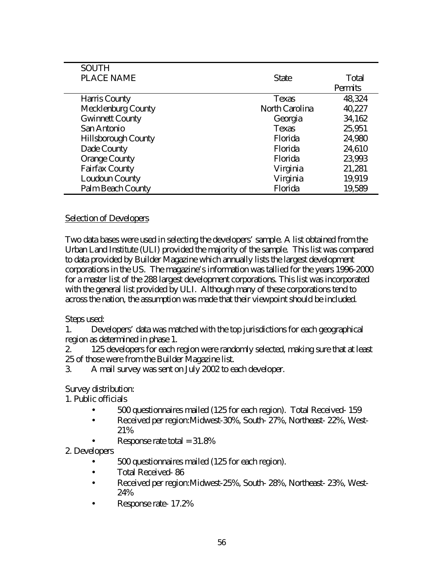| <b>SOUTH</b>               |                |         |
|----------------------------|----------------|---------|
| <b>PLACE NAME</b>          | <b>State</b>   | Total   |
|                            |                | Permits |
| Harris County              | Texas          | 48,324  |
| <b>Mecklenburg County</b>  | North Carolina | 40,227  |
| <b>Gwinnett County</b>     | Georgia        | 34,162  |
| San Antonio                | Texas          | 25,951  |
| <b>Hillsborough County</b> | Florida        | 24,980  |
| Dade County                | Florida        | 24,610  |
| <b>Orange County</b>       | Florida        | 23,993  |
| <b>Fairfax County</b>      | Virginia       | 21,281  |
| Loudoun County             | Virginia       | 19,919  |
| Palm Beach County          | Florida        | 19,589  |

### Selection of Developers

Two data bases were used in selecting the developers' sample. A list obtained from the Urban Land Institute (ULI) provided the majority of the sample. This list was compared to data provided by Builder Magazine which annually lists the largest development corporations in the US. The magazine's information was tallied for the years 1996-2000 for a master list of the 288 largest development corporations. This list was incorporated with the general list provided by ULI. Although many of these corporations tend to across the nation, the assumption was made that their viewpoint should be included.

### Steps used:

1. Developers' data was matched with the top jurisdictions for each geographical region as determined in phase 1.

2. 125 developers for each region were randomly selected, making sure that at least 25 of those were from the Builder Magazine list.

3. A mail survey was sent on July 2002 to each developer.

### Survey distribution:

1. Public officials

- 500 questionnaires mailed (125 for each region). Total Received-159
- Received per region: Midwest-30%, South-27%, Northeast-22%, West-21%
	- Response rate total  $= 31.8\%$
- 2. Developers
	- 500 questionnaires mailed (125 for each region).
	- Total Received-86
	- Received per region: Midwest-25%, South-28%, Northeast-23%, West-24%
	- Response rate- 17.2%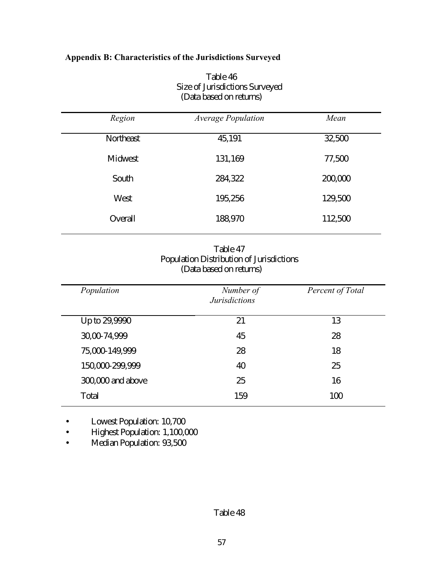# **Appendix B: Characteristics of the Jurisdictions Surveyed**

| Region    | <b>Average Population</b> | Mean    |
|-----------|---------------------------|---------|
| Northeast | 45,191                    | 32,500  |
| Midwest   | 131,169                   | 77,500  |
| South     | 284,322                   | 200,000 |
| West      | 195,256                   | 129,500 |
| Overall   | 188,970                   | 112,500 |

Table 46 Size of Jurisdictions Surveyed (Data based on returns)

| Table 47                                 |
|------------------------------------------|
| Population Distribution of Jurisdictions |
| (Data based on returns)                  |

| Population        | Number of<br><b>Jurisdictions</b> | Percent of Total |
|-------------------|-----------------------------------|------------------|
| Up to 29,9990     | 21                                | 13               |
| 30,00-74,999      | 45                                | 28               |
| 75,000-149,999    | 28                                | 18               |
| 150,000-299,999   | 40                                | 25               |
| 300,000 and above | 25                                | 16               |
| Total             | 159                               | 100              |

• Lowest Population: 10,700

• Highest Population: 1,100,000

• Median Population: 93,500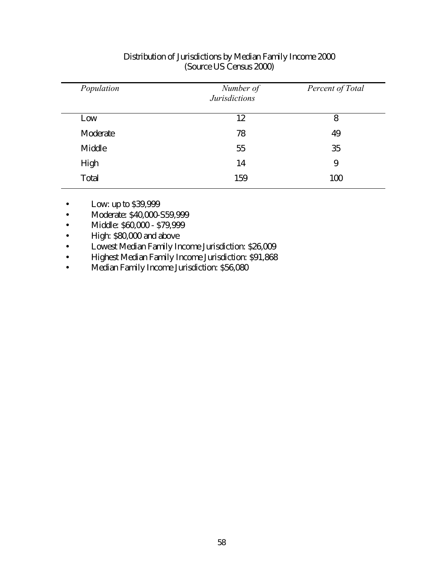| Population | Number of<br><b>Jurisdictions</b> | Percent of Total |
|------------|-----------------------------------|------------------|
| Low        | 12                                | 8                |
| Moderate   | 78                                | 49               |
| Middle     | 55                                | 35               |
| High       | 14                                | 9                |
| Total      | 159                               | 100              |

## Distribution of Jurisdictions by Median Family Income 2000 (Source US Census 2000)

- Low: up to \$39,999
- Moderate: \$40,000-S59,999
- Middle: \$60,000 \$79,999
- High: \$80,000 and above
- Lowest Median Family Income Jurisdiction: \$26,009
- Highest Median Family Income Jurisdiction: \$91,868
- Median Family Income Jurisdiction: \$56,080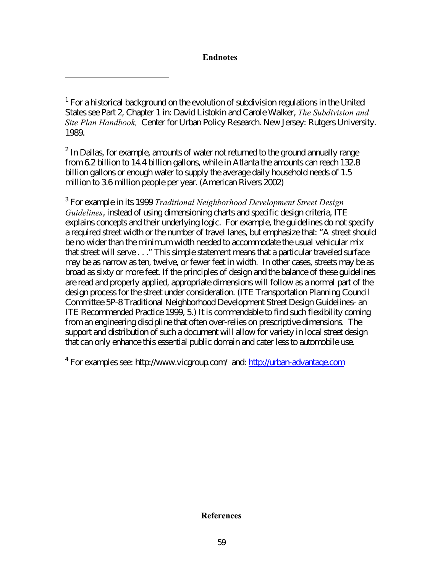#### **Endnotes**

-

 $2$  In Dallas, for example, amounts of water not returned to the ground annually range from 6.2 billion to 14.4 billion gallons, while in Atlanta the amounts can reach 132.8 billion gallons or enough water to supply the average daily household needs of 1.5 million to 3.6 million people per year. (American Rivers 2002)

3 For example in its 1999 *Traditional Neighborhood Development Street Design Guidelines*, instead of using dimensioning charts and specific design criteria, ITE explains concepts and their underlying logic. For example, the guidelines do not specify a required street width or the number of travel lanes, but emphasize that: "A street should be no wider than the minimum width needed to accommodate the usual vehicular mix that street will serve . . ." This simple statement means that a particular traveled surface may be as narrow as ten, twelve, or fewer feet in width. In other cases, streets may be as broad as sixty or more feet. If the principles of design and the balance of these guidelines are read and properly applied, appropriate dimensions will follow as a normal part of the design process for the street under consideration. (ITE Transportation Planning Council Committee 5P-8 Traditional Neighborhood Development Street Design Guidelines- an ITE Recommended Practice 1999, 5.) It is commendable to find such flexibility coming from an engineering discipline that often over-relies on prescriptive dimensions. The support and distribution of such a document will allow for variety in local street design that can only enhance this essential public domain and cater less to automobile use.

<sup>4</sup> For examples see: http://www.vicgroup.com/ and: http://urban-advantage.com

#### **References**

 $1$  For a historical background on the evolution of subdivision regulations in the United States see Part 2, Chapter 1 in: David Listokin and Carole Walker, *The Subdivision and Site Plan Handbook,* Center for Urban Policy Research. New Jersey: Rutgers University. 1989.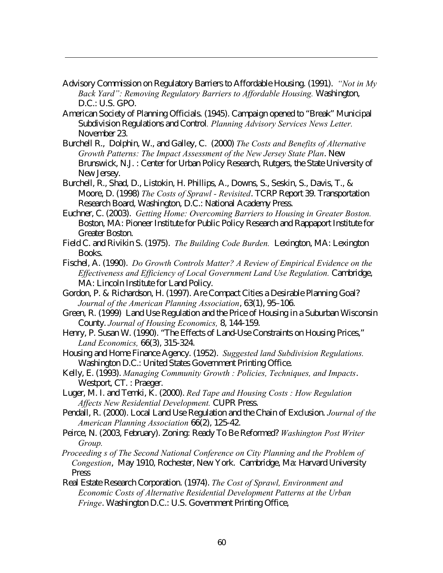Advisory Commission on Regulatory Barriers to Affordable Housing. (1991). *"Not in My Back Yard": Removing Regulatory Barriers to Affordable Housing.* Washington, D.C.: U.S. GPO.

-

- American Society of Planning Officials. (1945). Campaign opened to "Break" Municipal Subdivision Regulations and Control*. Planning Advisory Services News Letter.* November 23.
- Burchell R., Dolphin, W., and Galley, C. (2000) *The Costs and Benefits of Alternative Growth Patterns: The Impact Assessment of the New Jersey State Plan*. New Brunswick, N.J. : Center for Urban Policy Research, Rutgers, the State University of New Jersey.
- Burchell, R., Shad, D., Listokin, H. Phillips, A., Downs, S., Seskin, S., Davis, T., & Moore, D. (1998) *The Costs of Sprawl - Revisited*. TCRP Report 39. Transportation Research Board, Washington, D.C.: National Academy Press.
- Euchner, C. (2003). *Getting Home: Overcoming Barriers to Housing in Greater Boston.* Boston, MA: Pioneer Institute for Public Policy Research and Rappaport Institute for Greater Boston.
- Field C. and Rivikin S. (1975). *The Building Code Burden.* Lexington, MA: Lexington Books.
- Fischel, A. (1990). *Do Growth Controls Matter? A Review of Empirical Evidence on the Effectiveness and Efficiency of Local Government Land Use Regulation.* Cambridge, MA: Lincoln Institute for Land Policy.
- Gordon, P. & Richardson, H. (1997). Are Compact Cities a Desirable Planning Goal? *Journal of the American Planning Association*, 63(1), 95–106.
- Green, R. (1999) Land Use Regulation and the Price of Housing in a Suburban Wisconsin County. *Journal of Housing Economics,* 8, 144-159.
- Henry, P. Susan W. (1990). "The Effects of Land-Use Constraints on Housing Prices," *Land Economics,* 66(3), 315-324.
- Housing and Home Finance Agency. (1952). *Suggested land Subdivision Regulations.* Washington D.C.: United States Government Printing Office.
- Kelly, E. (1993). *Managing Community Growth : Policies, Techniques, and Impacts*. Westport, CT. : Praeger.
- Luger, M. I. and Temki, K. (2000). *Red Tape and Housing Costs : How Regulation Affects New Residential Development.* CUPR Press.
- Pendall, R. (2000). Local Land Use Regulation and the Chain of Exclusion. *Journal of the American Planning Association* 66(2), 125-42.
- Peirce, N. (2003, February). Zoning: Ready To Be Reformed? *Washington Post Writer Group.*
- *Proceeding s of The Second National Conference on City Planning and the Problem of Congestion*, May 1910, Rochester, New York. Cambridge, Ma: Harvard University Press
- Real Estate Research Corporation. (1974). *The Cost of Sprawl, Environment and Economic Costs of Alternative Residential Development Patterns at the Urban Fringe*. Washington D.C.: U.S. Government Printing Office,